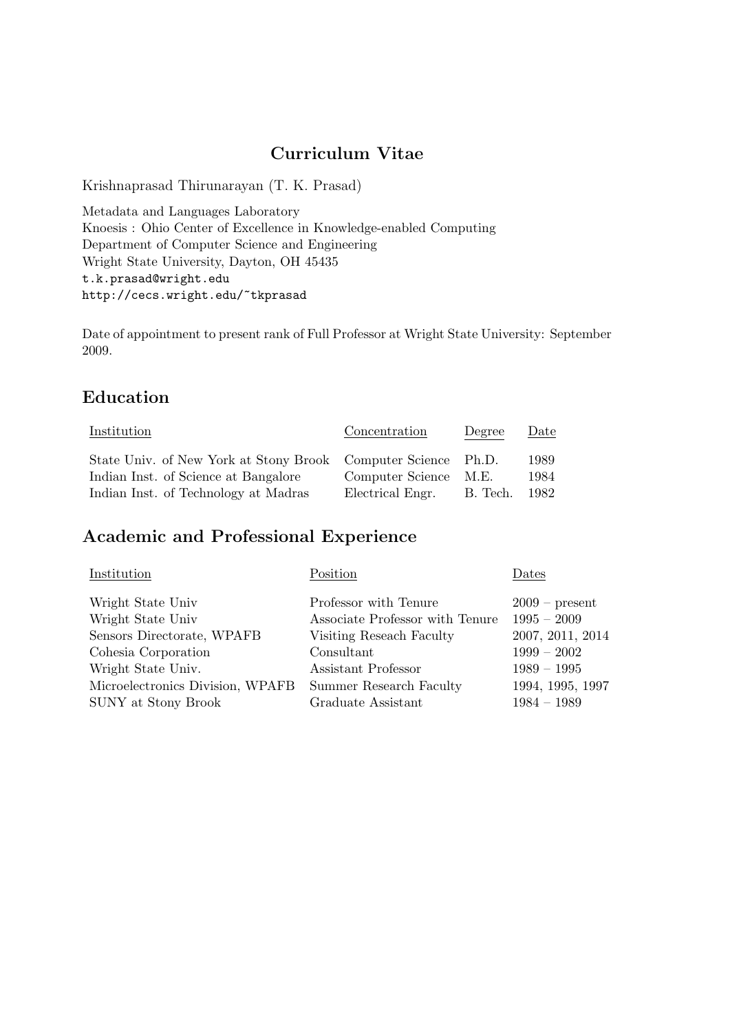# Curriculum Vitae

Krishnaprasad Thirunarayan (T. K. Prasad)

Metadata and Languages Laboratory Knoesis : Ohio Center of Excellence in Knowledge-enabled Computing Department of Computer Science and Engineering Wright State University, Dayton, OH 45435 t.k.prasad@wright.edu http://cecs.wright.edu/~tkprasad

Date of appointment to present rank of Full Professor at Wright State University: September 2009.

## Education

| Institution                                                   | Concentration         | Degree   | Date |
|---------------------------------------------------------------|-----------------------|----------|------|
| State Univ. of New York at Stony Brook Computer Science Ph.D. |                       |          | 1989 |
| Indian Inst. of Science at Bangalore                          | Computer Science M.E. |          | 1984 |
| Indian Inst. of Technology at Madras                          | Electrical Engr.      | B. Tech. | 1982 |

# Academic and Professional Experience

| Institution                                              | Position                        | Dates            |
|----------------------------------------------------------|---------------------------------|------------------|
| Wright State Univ                                        | Professor with Tenure           | $2009$ – present |
| Wright State Univ                                        | Associate Professor with Tenure | $1995 - 2009$    |
| Sensors Directorate, WPAFB                               | Visiting Reseach Faculty        | 2007, 2011, 2014 |
| Cohesia Corporation                                      | Consultant                      | $1999 - 2002$    |
| Wright State Univ.                                       | Assistant Professor             | $1989 - 1995$    |
| Microelectronics Division, WPAFB Summer Research Faculty |                                 | 1994, 1995, 1997 |
| SUNY at Stony Brook                                      | Graduate Assistant              | $1984 - 1989$    |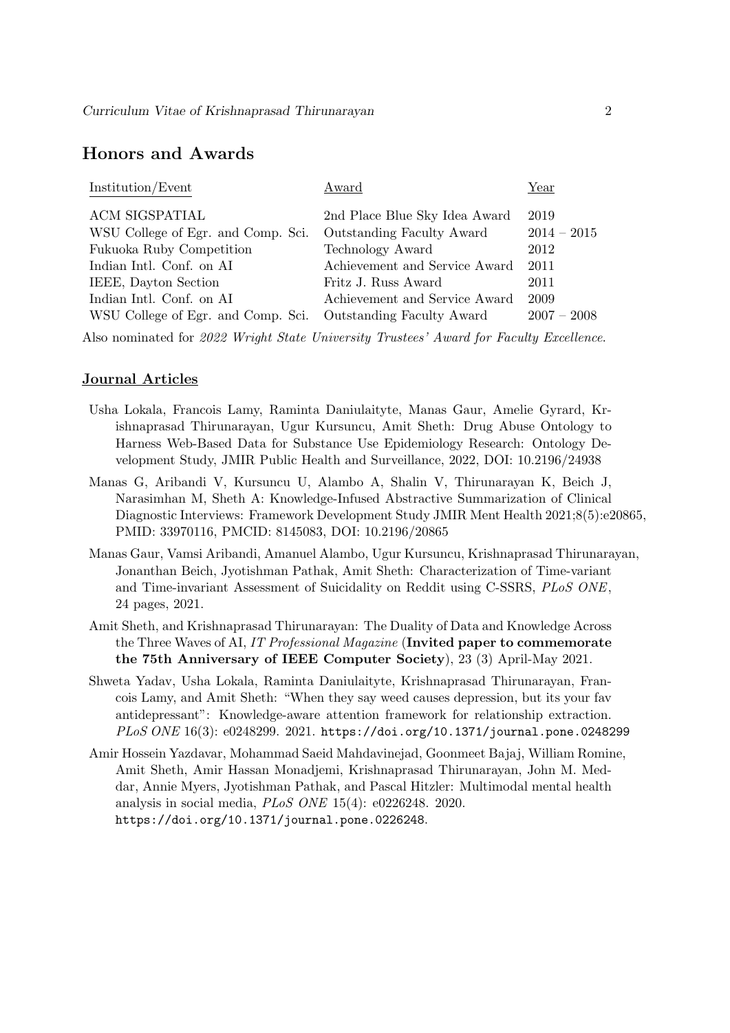### Honors and Awards

| Award                         | Year          |
|-------------------------------|---------------|
| 2nd Place Blue Sky Idea Award | 2019          |
| Outstanding Faculty Award     | $2014 - 2015$ |
| Technology Award              | 2012          |
| Achievement and Service Award | 2011          |
| Fritz J. Russ Award           | 2011          |
| Achievement and Service Award | 2009          |
| Outstanding Faculty Award     | $2007 - 2008$ |
|                               |               |

Also nominated for 2022 Wright State University Trustees' Award for Faculty Excellence.

#### Journal Articles

- Usha Lokala, Francois Lamy, Raminta Daniulaityte, Manas Gaur, Amelie Gyrard, Krishnaprasad Thirunarayan, Ugur Kursuncu, Amit Sheth: Drug Abuse Ontology to Harness Web-Based Data for Substance Use Epidemiology Research: Ontology Development Study, JMIR Public Health and Surveillance, 2022, DOI: 10.2196/24938
- Manas G, Aribandi V, Kursuncu U, Alambo A, Shalin V, Thirunarayan K, Beich J, Narasimhan M, Sheth A: Knowledge-Infused Abstractive Summarization of Clinical Diagnostic Interviews: Framework Development Study JMIR Ment Health 2021;8(5):e20865, PMID: 33970116, PMCID: 8145083, DOI: 10.2196/20865
- Manas Gaur, Vamsi Aribandi, Amanuel Alambo, Ugur Kursuncu, Krishnaprasad Thirunarayan, Jonanthan Beich, Jyotishman Pathak, Amit Sheth: Characterization of Time-variant and Time-invariant Assessment of Suicidality on Reddit using C-SSRS, PLoS ONE, 24 pages, 2021.
- Amit Sheth, and Krishnaprasad Thirunarayan: The Duality of Data and Knowledge Across the Three Waves of AI, IT Professional Magazine (Invited paper to commemorate the 75th Anniversary of IEEE Computer Society), 23 (3) April-May 2021.
- Shweta Yadav, Usha Lokala, Raminta Daniulaityte, Krishnaprasad Thirunarayan, Francois Lamy, and Amit Sheth: "When they say weed causes depression, but its your fav antidepressant": Knowledge-aware attention framework for relationship extraction. PLoS ONE 16(3): e0248299. 2021. https://doi.org/10.1371/journal.pone.0248299
- Amir Hossein Yazdavar, Mohammad Saeid Mahdavinejad, Goonmeet Bajaj, William Romine, Amit Sheth, Amir Hassan Monadjemi, Krishnaprasad Thirunarayan, John M. Meddar, Annie Myers, Jyotishman Pathak, and Pascal Hitzler: Multimodal mental health analysis in social media, PLoS ONE 15(4): e0226248. 2020. https://doi.org/10.1371/journal.pone.0226248.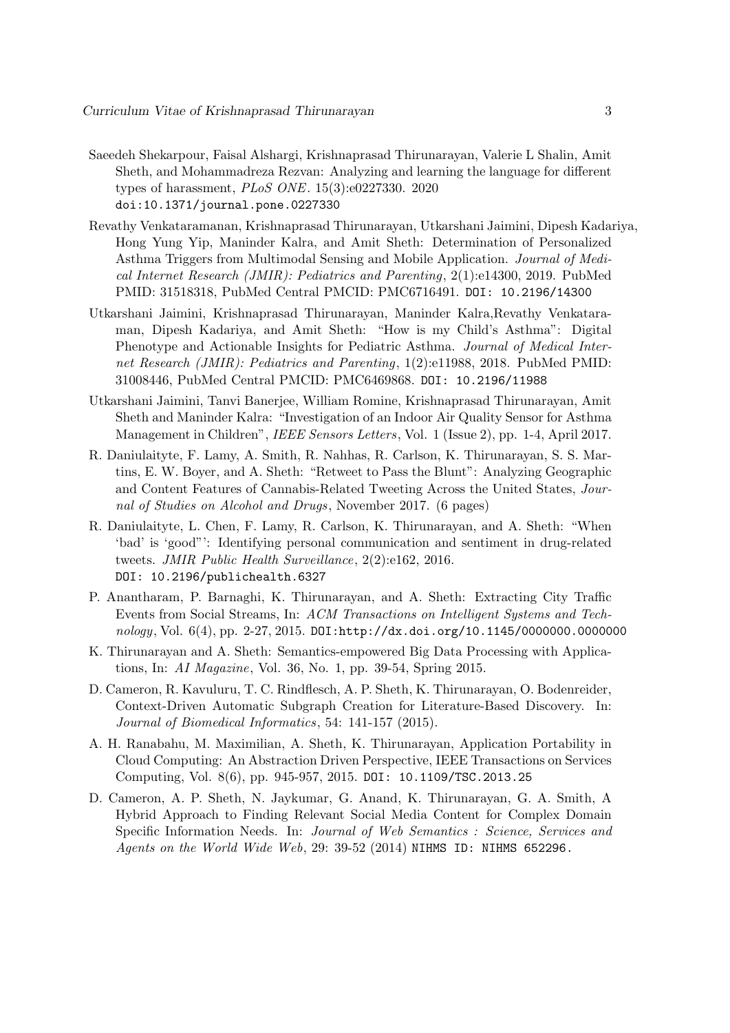- Saeedeh Shekarpour, Faisal Alshargi, Krishnaprasad Thirunarayan, Valerie L Shalin, Amit Sheth, and Mohammadreza Rezvan: Analyzing and learning the language for different types of harassment, PLoS ONE. 15(3):e0227330. 2020 doi:10.1371/journal.pone.0227330
- Revathy Venkataramanan, Krishnaprasad Thirunarayan, Utkarshani Jaimini, Dipesh Kadariya, Hong Yung Yip, Maninder Kalra, and Amit Sheth: Determination of Personalized Asthma Triggers from Multimodal Sensing and Mobile Application. Journal of Medical Internet Research (JMIR): Pediatrics and Parenting, 2(1):e14300, 2019. PubMed PMID: 31518318, PubMed Central PMCID: PMC6716491. DOI: 10.2196/14300
- Utkarshani Jaimini, Krishnaprasad Thirunarayan, Maninder Kalra,Revathy Venkataraman, Dipesh Kadariya, and Amit Sheth: "How is my Child's Asthma": Digital Phenotype and Actionable Insights for Pediatric Asthma. Journal of Medical Internet Research (JMIR): Pediatrics and Parenting, 1(2):e11988, 2018. PubMed PMID: 31008446, PubMed Central PMCID: PMC6469868. DOI: 10.2196/11988
- Utkarshani Jaimini, Tanvi Banerjee, William Romine, Krishnaprasad Thirunarayan, Amit Sheth and Maninder Kalra: "Investigation of an Indoor Air Quality Sensor for Asthma Management in Children", IEEE Sensors Letters, Vol. 1 (Issue 2), pp. 1-4, April 2017.
- R. Daniulaityte, F. Lamy, A. Smith, R. Nahhas, R. Carlson, K. Thirunarayan, S. S. Martins, E. W. Boyer, and A. Sheth: "Retweet to Pass the Blunt": Analyzing Geographic and Content Features of Cannabis-Related Tweeting Across the United States, Journal of Studies on Alcohol and Drugs, November 2017. (6 pages)
- R. Daniulaityte, L. Chen, F. Lamy, R. Carlson, K. Thirunarayan, and A. Sheth: "When 'bad' is 'good"': Identifying personal communication and sentiment in drug-related tweets. JMIR Public Health Surveillance, 2(2):e162, 2016. DOI: 10.2196/publichealth.6327
- P. Anantharam, P. Barnaghi, K. Thirunarayan, and A. Sheth: Extracting City Traffic Events from Social Streams, In: ACM Transactions on Intelligent Systems and Technology, Vol. 6(4), pp. 2-27, 2015. DOI:http://dx.doi.org/10.1145/0000000.0000000
- K. Thirunarayan and A. Sheth: Semantics-empowered Big Data Processing with Applications, In: AI Magazine, Vol. 36, No. 1, pp. 39-54, Spring 2015.
- D. Cameron, R. Kavuluru, T. C. Rindflesch, A. P. Sheth, K. Thirunarayan, O. Bodenreider, Context-Driven Automatic Subgraph Creation for Literature-Based Discovery. In: Journal of Biomedical Informatics, 54: 141-157 (2015).
- A. H. Ranabahu, M. Maximilian, A. Sheth, K. Thirunarayan, Application Portability in Cloud Computing: An Abstraction Driven Perspective, IEEE Transactions on Services Computing, Vol. 8(6), pp. 945-957, 2015. DOI: 10.1109/TSC.2013.25
- D. Cameron, A. P. Sheth, N. Jaykumar, G. Anand, K. Thirunarayan, G. A. Smith, A Hybrid Approach to Finding Relevant Social Media Content for Complex Domain Specific Information Needs. In: Journal of Web Semantics : Science, Services and Agents on the World Wide Web, 29: 39-52 (2014) NIHMS ID: NIHMS 652296.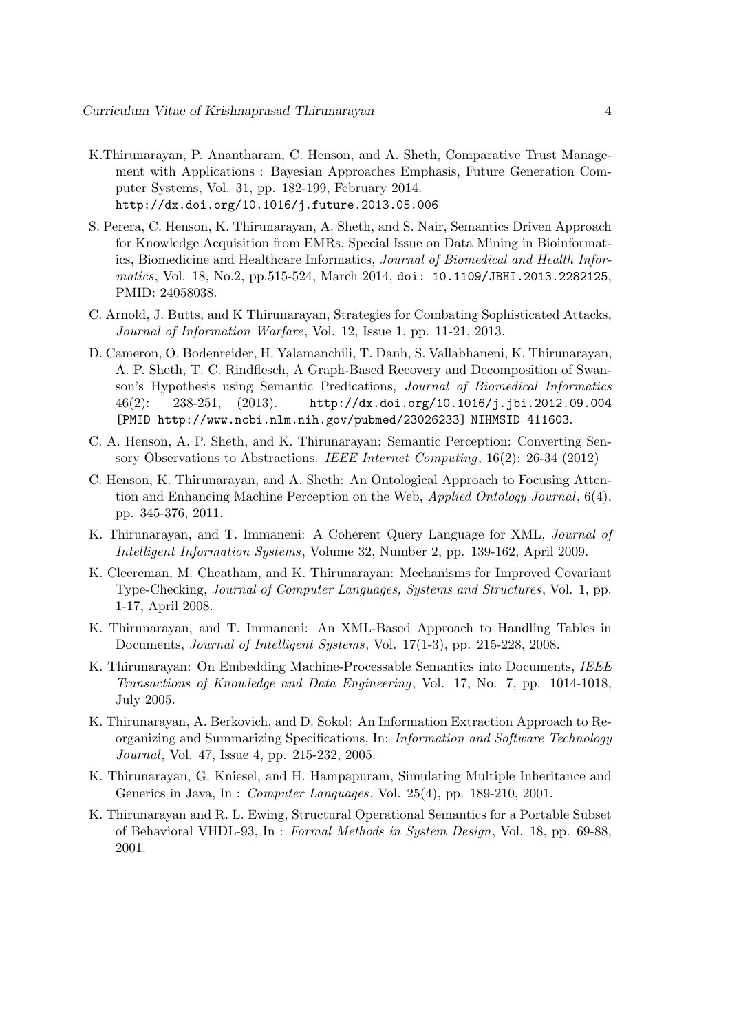- K.Thirunarayan, P. Anantharam, C. Henson, and A. Sheth, Comparative Trust Management with Applications : Bayesian Approaches Emphasis, Future Generation Computer Systems, Vol. 31, pp. 182-199, February 2014. http://dx.doi.org/10.1016/j.future.2013.05.006
- S. Perera, C. Henson, K. Thirunarayan, A. Sheth, and S. Nair, Semantics Driven Approach for Knowledge Acquisition from EMRs, Special Issue on Data Mining in Bioinformatics, Biomedicine and Healthcare Informatics, Journal of Biomedical and Health Informatics, Vol. 18, No.2, pp.515-524, March 2014, doi: 10.1109/JBHI.2013.2282125, PMID: 24058038.
- C. Arnold, J. Butts, and K Thirunarayan, Strategies for Combating Sophisticated Attacks, Journal of Information Warfare, Vol. 12, Issue 1, pp. 11-21, 2013.
- D. Cameron, O. Bodenreider, H. Yalamanchili, T. Danh, S. Vallabhaneni, K. Thirunarayan, A. P. Sheth, T. C. Rindflesch, A Graph-Based Recovery and Decomposition of Swanson's Hypothesis using Semantic Predications, Journal of Biomedical Informatics 46(2): 238-251, (2013). http://dx.doi.org/10.1016/j.jbi.2012.09.004 [PMID http://www.ncbi.nlm.nih.gov/pubmed/23026233] NIHMSID 411603.
- C. A. Henson, A. P. Sheth, and K. Thirunarayan: Semantic Perception: Converting Sensory Observations to Abstractions. IEEE Internet Computing, 16(2): 26-34 (2012)
- C. Henson, K. Thirunarayan, and A. Sheth: An Ontological Approach to Focusing Attention and Enhancing Machine Perception on the Web,  $Applied Ontology Journal, 6(4),$ pp. 345-376, 2011.
- K. Thirunarayan, and T. Immaneni: A Coherent Query Language for XML, Journal of Intelligent Information Systems, Volume 32, Number 2, pp. 139-162, April 2009.
- K. Cleereman, M. Cheatham, and K. Thirunarayan: Mechanisms for Improved Covariant Type-Checking, Journal of Computer Languages, Systems and Structures, Vol. 1, pp. 1-17, April 2008.
- K. Thirunarayan, and T. Immaneni: An XML-Based Approach to Handling Tables in Documents, Journal of Intelligent Systems, Vol. 17(1-3), pp. 215-228, 2008.
- K. Thirunarayan: On Embedding Machine-Processable Semantics into Documents, IEEE Transactions of Knowledge and Data Engineering, Vol. 17, No. 7, pp. 1014-1018, July 2005.
- K. Thirunarayan, A. Berkovich, and D. Sokol: An Information Extraction Approach to Reorganizing and Summarizing Specifications, In: Information and Software Technology Journal, Vol. 47, Issue 4, pp. 215-232, 2005.
- K. Thirunarayan, G. Kniesel, and H. Hampapuram, Simulating Multiple Inheritance and Generics in Java, In : Computer Languages, Vol. 25(4), pp. 189-210, 2001.
- K. Thirunarayan and R. L. Ewing, Structural Operational Semantics for a Portable Subset of Behavioral VHDL-93, In : Formal Methods in System Design, Vol. 18, pp. 69-88, 2001.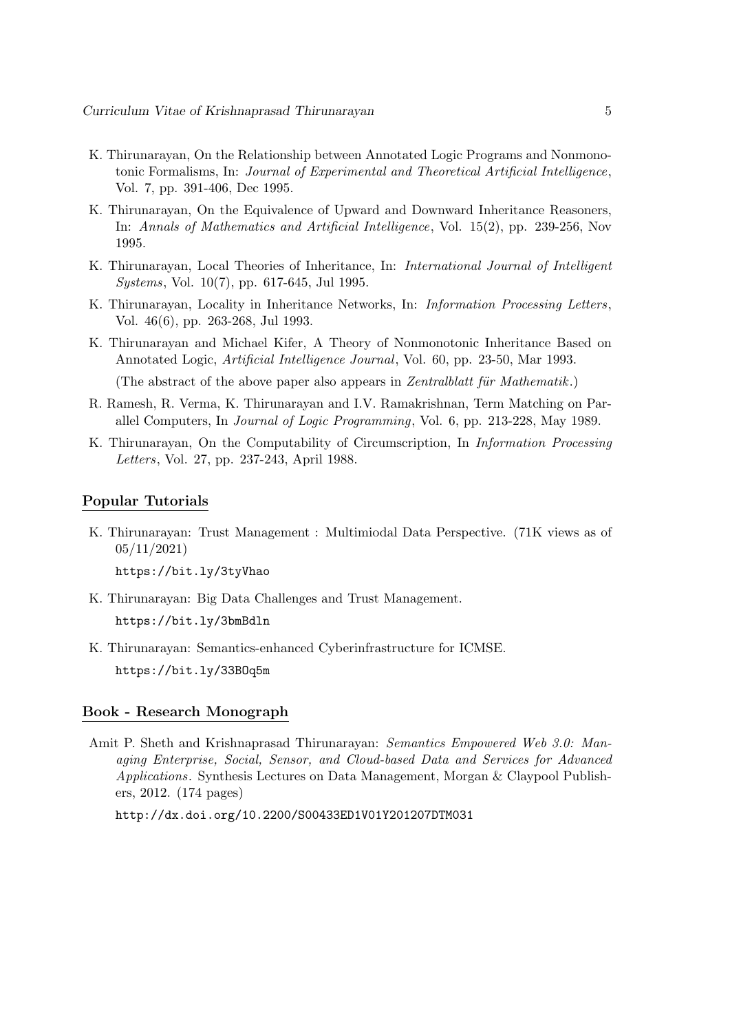- K. Thirunarayan, On the Relationship between Annotated Logic Programs and Nonmonotonic Formalisms, In: Journal of Experimental and Theoretical Artificial Intelligence, Vol. 7, pp. 391-406, Dec 1995.
- K. Thirunarayan, On the Equivalence of Upward and Downward Inheritance Reasoners, In: Annals of Mathematics and Artificial Intelligence, Vol. 15(2), pp. 239-256, Nov 1995.
- K. Thirunarayan, Local Theories of Inheritance, In: International Journal of Intelligent Systems, Vol. 10(7), pp. 617-645, Jul 1995.
- K. Thirunarayan, Locality in Inheritance Networks, In: Information Processing Letters, Vol. 46(6), pp. 263-268, Jul 1993.
- K. Thirunarayan and Michael Kifer, A Theory of Nonmonotonic Inheritance Based on Annotated Logic, Artificial Intelligence Journal, Vol. 60, pp. 23-50, Mar 1993.

(The abstract of the above paper also appears in Zentralblatt für Mathematik.)

- R. Ramesh, R. Verma, K. Thirunarayan and I.V. Ramakrishnan, Term Matching on Parallel Computers, In Journal of Logic Programming, Vol. 6, pp. 213-228, May 1989.
- K. Thirunarayan, On the Computability of Circumscription, In Information Processing Letters, Vol. 27, pp. 237-243, April 1988.

#### Popular Tutorials

K. Thirunarayan: Trust Management : Multimiodal Data Perspective. (71K views as of 05/11/2021)

https://bit.ly/3tyVhao

- K. Thirunarayan: Big Data Challenges and Trust Management. https://bit.ly/3bmBdln
- K. Thirunarayan: Semantics-enhanced Cyberinfrastructure for ICMSE. https://bit.ly/33BOq5m

#### Book - Research Monograph

Amit P. Sheth and Krishnaprasad Thirunarayan: Semantics Empowered Web 3.0: Managing Enterprise, Social, Sensor, and Cloud-based Data and Services for Advanced Applications. Synthesis Lectures on Data Management, Morgan & Claypool Publishers, 2012. (174 pages)

http://dx.doi.org/10.2200/S00433ED1V01Y201207DTM031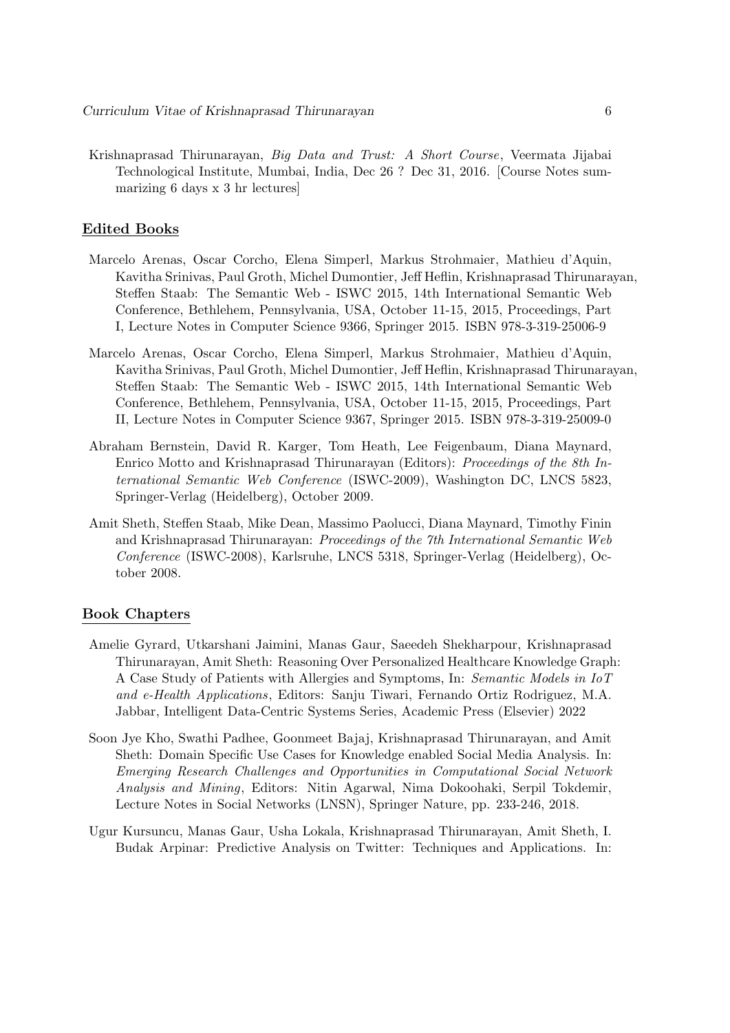Krishnaprasad Thirunarayan, Big Data and Trust: A Short Course, Veermata Jijabai Technological Institute, Mumbai, India, Dec 26 ? Dec 31, 2016. [Course Notes summarizing 6 days x 3 hr lectures]

#### Edited Books

- Marcelo Arenas, Oscar Corcho, Elena Simperl, Markus Strohmaier, Mathieu d'Aquin, Kavitha Srinivas, Paul Groth, Michel Dumontier, Jeff Heflin, Krishnaprasad Thirunarayan, Steffen Staab: The Semantic Web - ISWC 2015, 14th International Semantic Web Conference, Bethlehem, Pennsylvania, USA, October 11-15, 2015, Proceedings, Part I, Lecture Notes in Computer Science 9366, Springer 2015. ISBN 978-3-319-25006-9
- Marcelo Arenas, Oscar Corcho, Elena Simperl, Markus Strohmaier, Mathieu d'Aquin, Kavitha Srinivas, Paul Groth, Michel Dumontier, Jeff Heflin, Krishnaprasad Thirunarayan, Steffen Staab: The Semantic Web - ISWC 2015, 14th International Semantic Web Conference, Bethlehem, Pennsylvania, USA, October 11-15, 2015, Proceedings, Part II, Lecture Notes in Computer Science 9367, Springer 2015. ISBN 978-3-319-25009-0
- Abraham Bernstein, David R. Karger, Tom Heath, Lee Feigenbaum, Diana Maynard, Enrico Motto and Krishnaprasad Thirunarayan (Editors): Proceedings of the 8th International Semantic Web Conference (ISWC-2009), Washington DC, LNCS 5823, Springer-Verlag (Heidelberg), October 2009.
- Amit Sheth, Steffen Staab, Mike Dean, Massimo Paolucci, Diana Maynard, Timothy Finin and Krishnaprasad Thirunarayan: Proceedings of the 7th International Semantic Web Conference (ISWC-2008), Karlsruhe, LNCS 5318, Springer-Verlag (Heidelberg), October 2008.

#### Book Chapters

- Amelie Gyrard, Utkarshani Jaimini, Manas Gaur, Saeedeh Shekharpour, Krishnaprasad Thirunarayan, Amit Sheth: Reasoning Over Personalized Healthcare Knowledge Graph: A Case Study of Patients with Allergies and Symptoms, In: Semantic Models in IoT and e-Health Applications, Editors: Sanju Tiwari, Fernando Ortiz Rodriguez, M.A. Jabbar, Intelligent Data-Centric Systems Series, Academic Press (Elsevier) 2022
- Soon Jye Kho, Swathi Padhee, Goonmeet Bajaj, Krishnaprasad Thirunarayan, and Amit Sheth: Domain Specific Use Cases for Knowledge enabled Social Media Analysis. In: Emerging Research Challenges and Opportunities in Computational Social Network Analysis and Mining, Editors: Nitin Agarwal, Nima Dokoohaki, Serpil Tokdemir, Lecture Notes in Social Networks (LNSN), Springer Nature, pp. 233-246, 2018.
- Ugur Kursuncu, Manas Gaur, Usha Lokala, Krishnaprasad Thirunarayan, Amit Sheth, I. Budak Arpinar: Predictive Analysis on Twitter: Techniques and Applications. In: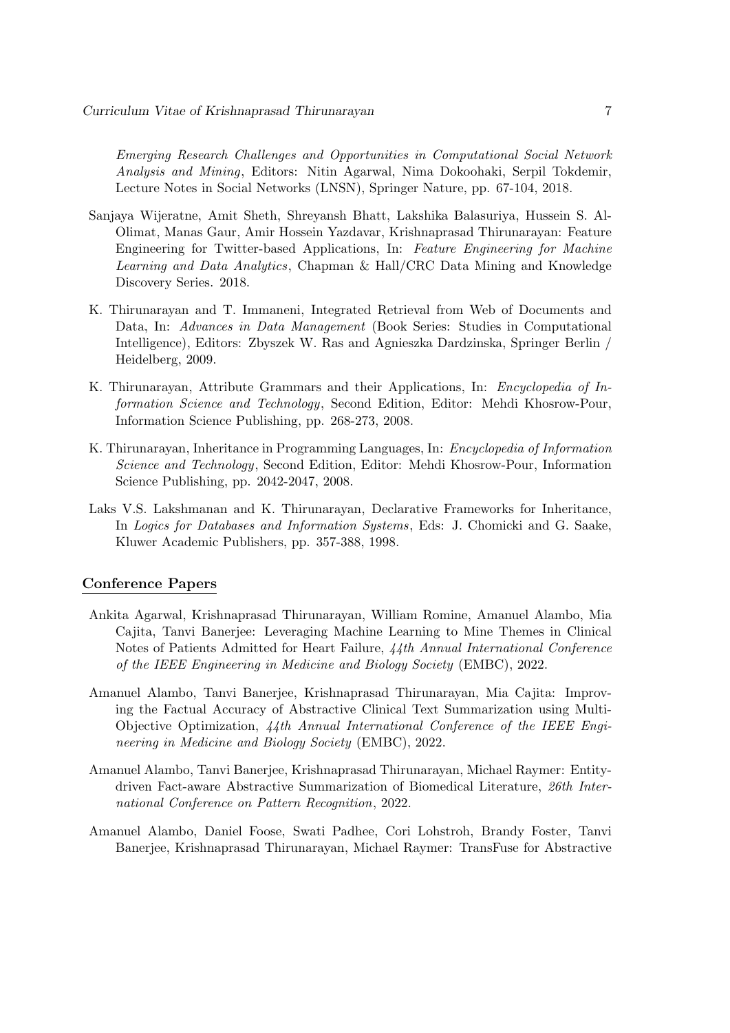Emerging Research Challenges and Opportunities in Computational Social Network Analysis and Mining, Editors: Nitin Agarwal, Nima Dokoohaki, Serpil Tokdemir, Lecture Notes in Social Networks (LNSN), Springer Nature, pp. 67-104, 2018.

- Sanjaya Wijeratne, Amit Sheth, Shreyansh Bhatt, Lakshika Balasuriya, Hussein S. Al-Olimat, Manas Gaur, Amir Hossein Yazdavar, Krishnaprasad Thirunarayan: Feature Engineering for Twitter-based Applications, In: Feature Engineering for Machine Learning and Data Analytics, Chapman & Hall/CRC Data Mining and Knowledge Discovery Series. 2018.
- K. Thirunarayan and T. Immaneni, Integrated Retrieval from Web of Documents and Data, In: Advances in Data Management (Book Series: Studies in Computational Intelligence), Editors: Zbyszek W. Ras and Agnieszka Dardzinska, Springer Berlin / Heidelberg, 2009.
- K. Thirunarayan, Attribute Grammars and their Applications, In: Encyclopedia of Information Science and Technology, Second Edition, Editor: Mehdi Khosrow-Pour, Information Science Publishing, pp. 268-273, 2008.
- K. Thirunarayan, Inheritance in Programming Languages, In: Encyclopedia of Information Science and Technology, Second Edition, Editor: Mehdi Khosrow-Pour, Information Science Publishing, pp. 2042-2047, 2008.
- Laks V.S. Lakshmanan and K. Thirunarayan, Declarative Frameworks for Inheritance, In Logics for Databases and Information Systems, Eds: J. Chomicki and G. Saake, Kluwer Academic Publishers, pp. 357-388, 1998.

### Conference Papers

- Ankita Agarwal, Krishnaprasad Thirunarayan, William Romine, Amanuel Alambo, Mia Cajita, Tanvi Banerjee: Leveraging Machine Learning to Mine Themes in Clinical Notes of Patients Admitted for Heart Failure, 44th Annual International Conference of the IEEE Engineering in Medicine and Biology Society (EMBC), 2022.
- Amanuel Alambo, Tanvi Banerjee, Krishnaprasad Thirunarayan, Mia Cajita: Improving the Factual Accuracy of Abstractive Clinical Text Summarization using Multi-Objective Optimization, 44th Annual International Conference of the IEEE Engineering in Medicine and Biology Society (EMBC), 2022.
- Amanuel Alambo, Tanvi Banerjee, Krishnaprasad Thirunarayan, Michael Raymer: Entitydriven Fact-aware Abstractive Summarization of Biomedical Literature, 26th International Conference on Pattern Recognition, 2022.
- Amanuel Alambo, Daniel Foose, Swati Padhee, Cori Lohstroh, Brandy Foster, Tanvi Banerjee, Krishnaprasad Thirunarayan, Michael Raymer: TransFuse for Abstractive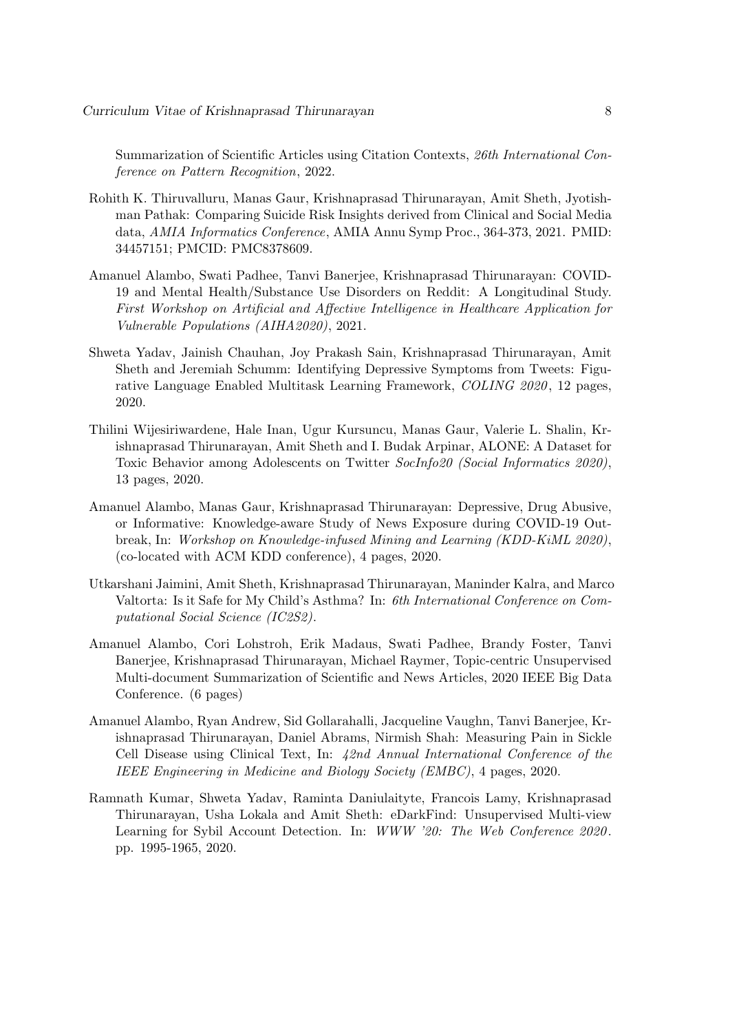Summarization of Scientific Articles using Citation Contexts, 26th International Conference on Pattern Recognition, 2022.

- Rohith K. Thiruvalluru, Manas Gaur, Krishnaprasad Thirunarayan, Amit Sheth, Jyotishman Pathak: Comparing Suicide Risk Insights derived from Clinical and Social Media data, AMIA Informatics Conference, AMIA Annu Symp Proc., 364-373, 2021. PMID: 34457151; PMCID: PMC8378609.
- Amanuel Alambo, Swati Padhee, Tanvi Banerjee, Krishnaprasad Thirunarayan: COVID-19 and Mental Health/Substance Use Disorders on Reddit: A Longitudinal Study. First Workshop on Artificial and Affective Intelligence in Healthcare Application for Vulnerable Populations (AIHA2020), 2021.
- Shweta Yadav, Jainish Chauhan, Joy Prakash Sain, Krishnaprasad Thirunarayan, Amit Sheth and Jeremiah Schumm: Identifying Depressive Symptoms from Tweets: Figurative Language Enabled Multitask Learning Framework, COLING 2020 , 12 pages, 2020.
- Thilini Wijesiriwardene, Hale Inan, Ugur Kursuncu, Manas Gaur, Valerie L. Shalin, Krishnaprasad Thirunarayan, Amit Sheth and I. Budak Arpinar, ALONE: A Dataset for Toxic Behavior among Adolescents on Twitter SocInfo20 (Social Informatics 2020), 13 pages, 2020.
- Amanuel Alambo, Manas Gaur, Krishnaprasad Thirunarayan: Depressive, Drug Abusive, or Informative: Knowledge-aware Study of News Exposure during COVID-19 Outbreak, In: Workshop on Knowledge-infused Mining and Learning (KDD-KiML 2020), (co-located with ACM KDD conference), 4 pages, 2020.
- Utkarshani Jaimini, Amit Sheth, Krishnaprasad Thirunarayan, Maninder Kalra, and Marco Valtorta: Is it Safe for My Child's Asthma? In: 6th International Conference on Computational Social Science (IC2S2).
- Amanuel Alambo, Cori Lohstroh, Erik Madaus, Swati Padhee, Brandy Foster, Tanvi Banerjee, Krishnaprasad Thirunarayan, Michael Raymer, Topic-centric Unsupervised Multi-document Summarization of Scientific and News Articles, 2020 IEEE Big Data Conference. (6 pages)
- Amanuel Alambo, Ryan Andrew, Sid Gollarahalli, Jacqueline Vaughn, Tanvi Banerjee, Krishnaprasad Thirunarayan, Daniel Abrams, Nirmish Shah: Measuring Pain in Sickle Cell Disease using Clinical Text, In: 42nd Annual International Conference of the IEEE Engineering in Medicine and Biology Society (EMBC), 4 pages, 2020.
- Ramnath Kumar, Shweta Yadav, Raminta Daniulaityte, Francois Lamy, Krishnaprasad Thirunarayan, Usha Lokala and Amit Sheth: eDarkFind: Unsupervised Multi-view Learning for Sybil Account Detection. In: WWW '20: The Web Conference 2020. pp. 1995-1965, 2020.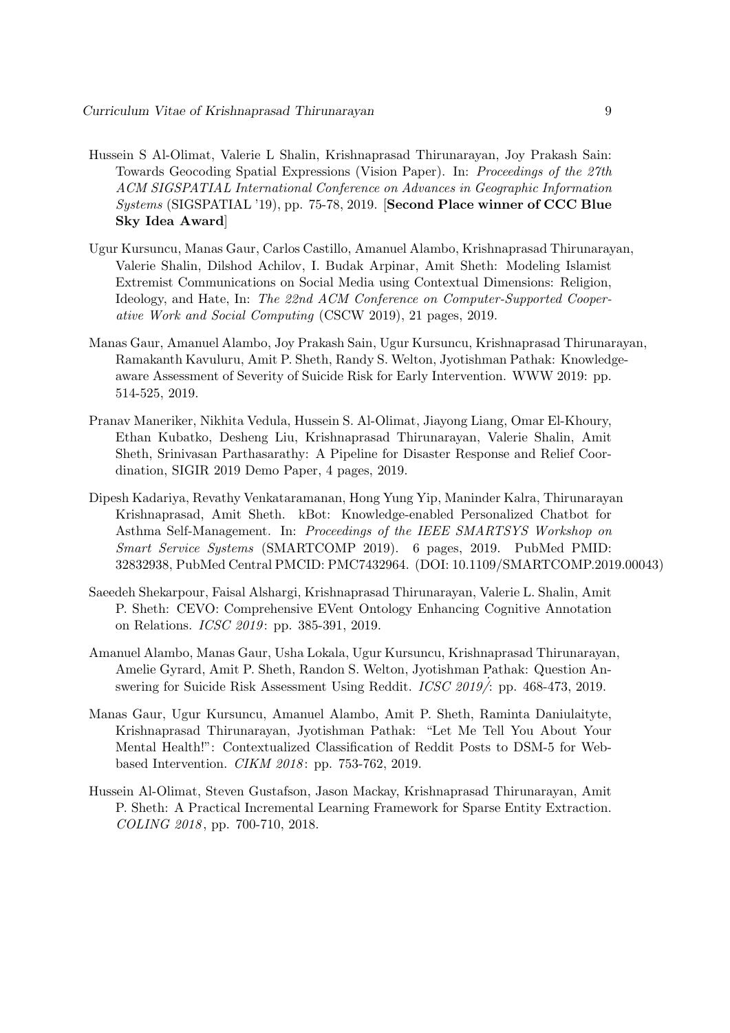- Hussein S Al-Olimat, Valerie L Shalin, Krishnaprasad Thirunarayan, Joy Prakash Sain: Towards Geocoding Spatial Expressions (Vision Paper). In: Proceedings of the 27th ACM SIGSPATIAL International Conference on Advances in Geographic Information Systems (SIGSPATIAL '19), pp. 75-78, 2019. [Second Place winner of CCC Blue Sky Idea Award]
- Ugur Kursuncu, Manas Gaur, Carlos Castillo, Amanuel Alambo, Krishnaprasad Thirunarayan, Valerie Shalin, Dilshod Achilov, I. Budak Arpinar, Amit Sheth: Modeling Islamist Extremist Communications on Social Media using Contextual Dimensions: Religion, Ideology, and Hate, In: The 22nd ACM Conference on Computer-Supported Cooperative Work and Social Computing (CSCW 2019), 21 pages, 2019.
- Manas Gaur, Amanuel Alambo, Joy Prakash Sain, Ugur Kursuncu, Krishnaprasad Thirunarayan, Ramakanth Kavuluru, Amit P. Sheth, Randy S. Welton, Jyotishman Pathak: Knowledgeaware Assessment of Severity of Suicide Risk for Early Intervention. WWW 2019: pp. 514-525, 2019.
- Pranav Maneriker, Nikhita Vedula, Hussein S. Al-Olimat, Jiayong Liang, Omar El-Khoury, Ethan Kubatko, Desheng Liu, Krishnaprasad Thirunarayan, Valerie Shalin, Amit Sheth, Srinivasan Parthasarathy: A Pipeline for Disaster Response and Relief Coordination, SIGIR 2019 Demo Paper, 4 pages, 2019.
- Dipesh Kadariya, Revathy Venkataramanan, Hong Yung Yip, Maninder Kalra, Thirunarayan Krishnaprasad, Amit Sheth. kBot: Knowledge-enabled Personalized Chatbot for Asthma Self-Management. In: Proceedings of the IEEE SMARTSYS Workshop on Smart Service Systems (SMARTCOMP 2019). 6 pages, 2019. PubMed PMID: 32832938, PubMed Central PMCID: PMC7432964. (DOI: 10.1109/SMARTCOMP.2019.00043)
- Saeedeh Shekarpour, Faisal Alshargi, Krishnaprasad Thirunarayan, Valerie L. Shalin, Amit P. Sheth: CEVO: Comprehensive EVent Ontology Enhancing Cognitive Annotation on Relations. *ICSC 2019*: pp. 385-391, 2019.
- Amanuel Alambo, Manas Gaur, Usha Lokala, Ugur Kursuncu, Krishnaprasad Thirunarayan, Amelie Gyrard, Amit P. Sheth, Randon S. Welton, Jyotishman Pathak: Question Answering for Suicide Risk Assessment Using Reddit. *ICSC 2019*/: pp. 468-473, 2019.
- Manas Gaur, Ugur Kursuncu, Amanuel Alambo, Amit P. Sheth, Raminta Daniulaityte, Krishnaprasad Thirunarayan, Jyotishman Pathak: "Let Me Tell You About Your Mental Health!": Contextualized Classification of Reddit Posts to DSM-5 for Webbased Intervention. *CIKM 2018*: pp. 753-762, 2019.
- Hussein Al-Olimat, Steven Gustafson, Jason Mackay, Krishnaprasad Thirunarayan, Amit P. Sheth: A Practical Incremental Learning Framework for Sparse Entity Extraction. COLING 2018, pp. 700-710, 2018.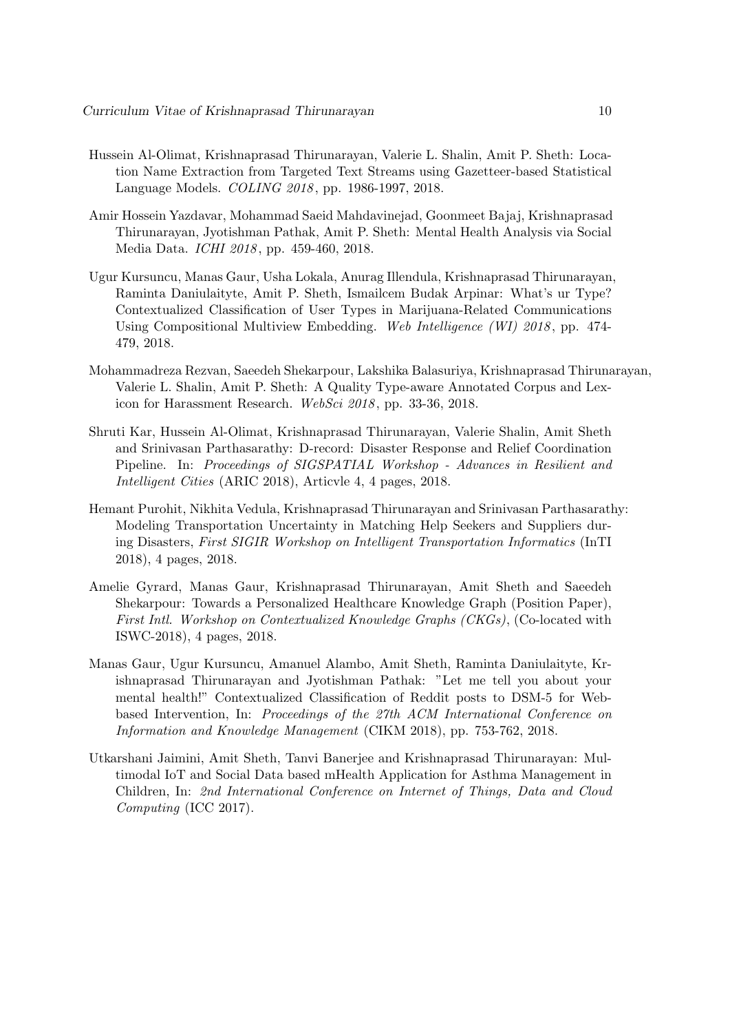- Hussein Al-Olimat, Krishnaprasad Thirunarayan, Valerie L. Shalin, Amit P. Sheth: Location Name Extraction from Targeted Text Streams using Gazetteer-based Statistical Language Models. COLING 2018 , pp. 1986-1997, 2018.
- Amir Hossein Yazdavar, Mohammad Saeid Mahdavinejad, Goonmeet Bajaj, Krishnaprasad Thirunarayan, Jyotishman Pathak, Amit P. Sheth: Mental Health Analysis via Social Media Data. ICHI 2018 , pp. 459-460, 2018.
- Ugur Kursuncu, Manas Gaur, Usha Lokala, Anurag Illendula, Krishnaprasad Thirunarayan, Raminta Daniulaityte, Amit P. Sheth, Ismailcem Budak Arpinar: What's ur Type? Contextualized Classification of User Types in Marijuana-Related Communications Using Compositional Multiview Embedding. Web Intelligence (WI) 2018, pp. 474-479, 2018.
- Mohammadreza Rezvan, Saeedeh Shekarpour, Lakshika Balasuriya, Krishnaprasad Thirunarayan, Valerie L. Shalin, Amit P. Sheth: A Quality Type-aware Annotated Corpus and Lexicon for Harassment Research. WebSci 2018, pp. 33-36, 2018.
- Shruti Kar, Hussein Al-Olimat, Krishnaprasad Thirunarayan, Valerie Shalin, Amit Sheth and Srinivasan Parthasarathy: D-record: Disaster Response and Relief Coordination Pipeline. In: Proceedings of SIGSPATIAL Workshop - Advances in Resilient and Intelligent Cities (ARIC 2018), Articvle 4, 4 pages, 2018.
- Hemant Purohit, Nikhita Vedula, Krishnaprasad Thirunarayan and Srinivasan Parthasarathy: Modeling Transportation Uncertainty in Matching Help Seekers and Suppliers during Disasters, First SIGIR Workshop on Intelligent Transportation Informatics (InTI 2018), 4 pages, 2018.
- Amelie Gyrard, Manas Gaur, Krishnaprasad Thirunarayan, Amit Sheth and Saeedeh Shekarpour: Towards a Personalized Healthcare Knowledge Graph (Position Paper), First Intl. Workshop on Contextualized Knowledge Graphs (CKGs), (Co-located with ISWC-2018), 4 pages, 2018.
- Manas Gaur, Ugur Kursuncu, Amanuel Alambo, Amit Sheth, Raminta Daniulaityte, Krishnaprasad Thirunarayan and Jyotishman Pathak: "Let me tell you about your mental health!" Contextualized Classification of Reddit posts to DSM-5 for Webbased Intervention, In: Proceedings of the 27th ACM International Conference on Information and Knowledge Management (CIKM 2018), pp. 753-762, 2018.
- Utkarshani Jaimini, Amit Sheth, Tanvi Banerjee and Krishnaprasad Thirunarayan: Multimodal IoT and Social Data based mHealth Application for Asthma Management in Children, In: 2nd International Conference on Internet of Things, Data and Cloud Computing (ICC 2017).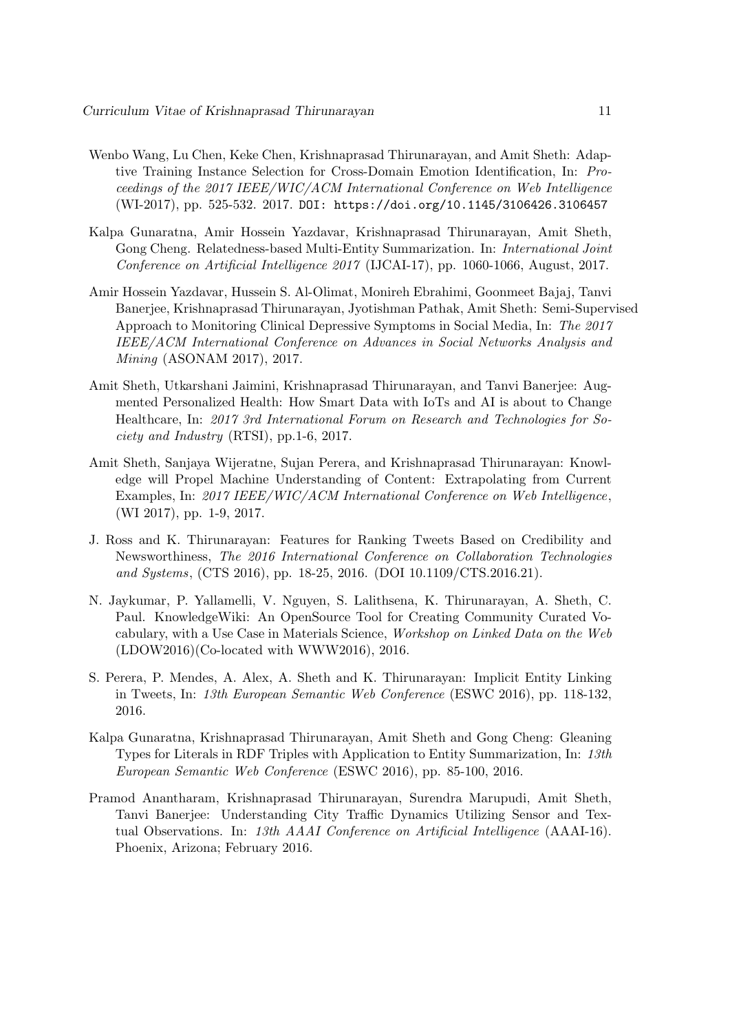- Wenbo Wang, Lu Chen, Keke Chen, Krishnaprasad Thirunarayan, and Amit Sheth: Adaptive Training Instance Selection for Cross-Domain Emotion Identification, In: Proceedings of the 2017 IEEE/WIC/ACM International Conference on Web Intelligence (WI-2017), pp. 525-532. 2017. DOI: https://doi.org/10.1145/3106426.3106457
- Kalpa Gunaratna, Amir Hossein Yazdavar, Krishnaprasad Thirunarayan, Amit Sheth, Gong Cheng. Relatedness-based Multi-Entity Summarization. In: *International Joint* Conference on Artificial Intelligence 2017 (IJCAI-17), pp. 1060-1066, August, 2017.
- Amir Hossein Yazdavar, Hussein S. Al-Olimat, Monireh Ebrahimi, Goonmeet Bajaj, Tanvi Banerjee, Krishnaprasad Thirunarayan, Jyotishman Pathak, Amit Sheth: Semi-Supervised Approach to Monitoring Clinical Depressive Symptoms in Social Media, In: The 2017 IEEE/ACM International Conference on Advances in Social Networks Analysis and Mining (ASONAM 2017), 2017.
- Amit Sheth, Utkarshani Jaimini, Krishnaprasad Thirunarayan, and Tanvi Banerjee: Augmented Personalized Health: How Smart Data with IoTs and AI is about to Change Healthcare, In: 2017 3rd International Forum on Research and Technologies for Society and Industry (RTSI), pp.1-6, 2017.
- Amit Sheth, Sanjaya Wijeratne, Sujan Perera, and Krishnaprasad Thirunarayan: Knowledge will Propel Machine Understanding of Content: Extrapolating from Current Examples, In: 2017 IEEE/WIC/ACM International Conference on Web Intelligence, (WI 2017), pp. 1-9, 2017.
- J. Ross and K. Thirunarayan: Features for Ranking Tweets Based on Credibility and Newsworthiness, The 2016 International Conference on Collaboration Technologies and Systems, (CTS 2016), pp. 18-25, 2016. (DOI 10.1109/CTS.2016.21).
- N. Jaykumar, P. Yallamelli, V. Nguyen, S. Lalithsena, K. Thirunarayan, A. Sheth, C. Paul. KnowledgeWiki: An OpenSource Tool for Creating Community Curated Vocabulary, with a Use Case in Materials Science, Workshop on Linked Data on the Web (LDOW2016)(Co-located with WWW2016), 2016.
- S. Perera, P. Mendes, A. Alex, A. Sheth and K. Thirunarayan: Implicit Entity Linking in Tweets, In: 13th European Semantic Web Conference (ESWC 2016), pp. 118-132, 2016.
- Kalpa Gunaratna, Krishnaprasad Thirunarayan, Amit Sheth and Gong Cheng: Gleaning Types for Literals in RDF Triples with Application to Entity Summarization, In: 13th European Semantic Web Conference (ESWC 2016), pp. 85-100, 2016.
- Pramod Anantharam, Krishnaprasad Thirunarayan, Surendra Marupudi, Amit Sheth, Tanvi Banerjee: Understanding City Traffic Dynamics Utilizing Sensor and Textual Observations. In: 13th AAAI Conference on Artificial Intelligence (AAAI-16). Phoenix, Arizona; February 2016.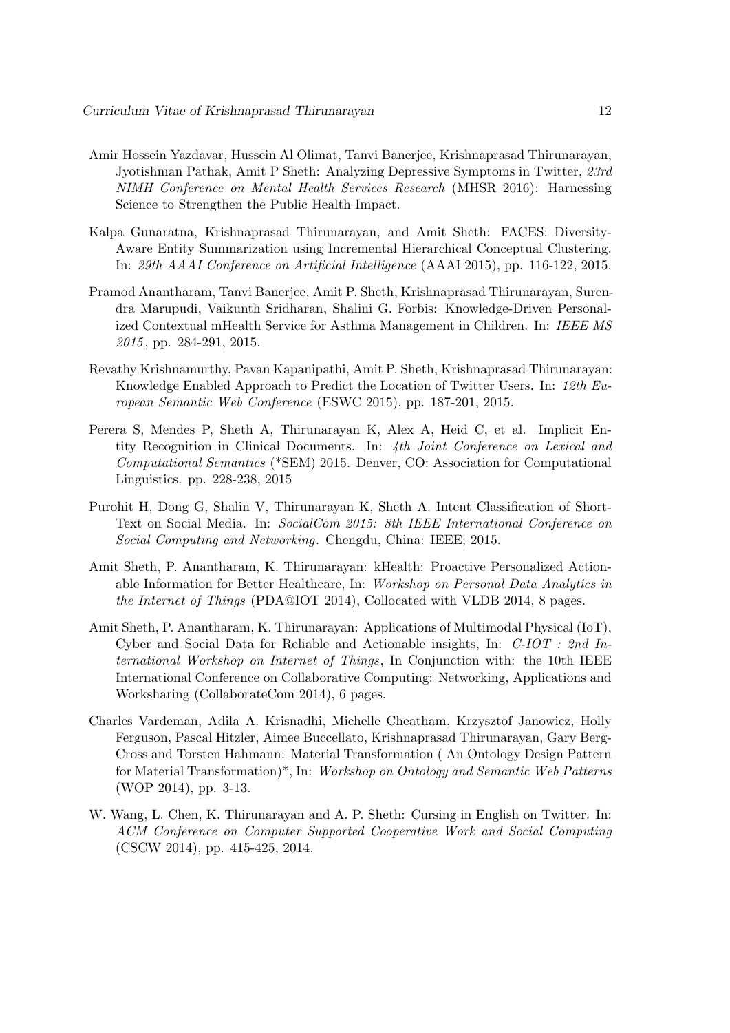- Amir Hossein Yazdavar, Hussein Al Olimat, Tanvi Banerjee, Krishnaprasad Thirunarayan, Jyotishman Pathak, Amit P Sheth: Analyzing Depressive Symptoms in Twitter, 23rd NIMH Conference on Mental Health Services Research (MHSR 2016): Harnessing Science to Strengthen the Public Health Impact.
- Kalpa Gunaratna, Krishnaprasad Thirunarayan, and Amit Sheth: FACES: Diversity-Aware Entity Summarization using Incremental Hierarchical Conceptual Clustering. In: 29th AAAI Conference on Artificial Intelligence (AAAI 2015), pp. 116-122, 2015.
- Pramod Anantharam, Tanvi Banerjee, Amit P. Sheth, Krishnaprasad Thirunarayan, Surendra Marupudi, Vaikunth Sridharan, Shalini G. Forbis: Knowledge-Driven Personalized Contextual mHealth Service for Asthma Management in Children. In: IEEE MS 2015 , pp. 284-291, 2015.
- Revathy Krishnamurthy, Pavan Kapanipathi, Amit P. Sheth, Krishnaprasad Thirunarayan: Knowledge Enabled Approach to Predict the Location of Twitter Users. In: 12th European Semantic Web Conference (ESWC 2015), pp. 187-201, 2015.
- Perera S, Mendes P, Sheth A, Thirunarayan K, Alex A, Heid C, et al. Implicit Entity Recognition in Clinical Documents. In: 4th Joint Conference on Lexical and Computational Semantics (\*SEM) 2015. Denver, CO: Association for Computational Linguistics. pp. 228-238, 2015
- Purohit H, Dong G, Shalin V, Thirunarayan K, Sheth A. Intent Classification of Short-Text on Social Media. In: SocialCom 2015: 8th IEEE International Conference on Social Computing and Networking. Chengdu, China: IEEE; 2015.
- Amit Sheth, P. Anantharam, K. Thirunarayan: kHealth: Proactive Personalized Actionable Information for Better Healthcare, In: Workshop on Personal Data Analytics in the Internet of Things (PDA@IOT 2014), Collocated with VLDB 2014, 8 pages.
- Amit Sheth, P. Anantharam, K. Thirunarayan: Applications of Multimodal Physical (IoT), Cyber and Social Data for Reliable and Actionable insights, In: C-IOT : 2nd International Workshop on Internet of Things, In Conjunction with: the 10th IEEE International Conference on Collaborative Computing: Networking, Applications and Worksharing (CollaborateCom 2014), 6 pages.
- Charles Vardeman, Adila A. Krisnadhi, Michelle Cheatham, Krzysztof Janowicz, Holly Ferguson, Pascal Hitzler, Aimee Buccellato, Krishnaprasad Thirunarayan, Gary Berg-Cross and Torsten Hahmann: Material Transformation ( An Ontology Design Pattern for Material Transformation)\*, In: Workshop on Ontology and Semantic Web Patterns (WOP 2014), pp. 3-13.
- W. Wang, L. Chen, K. Thirunarayan and A. P. Sheth: Cursing in English on Twitter. In: ACM Conference on Computer Supported Cooperative Work and Social Computing (CSCW 2014), pp. 415-425, 2014.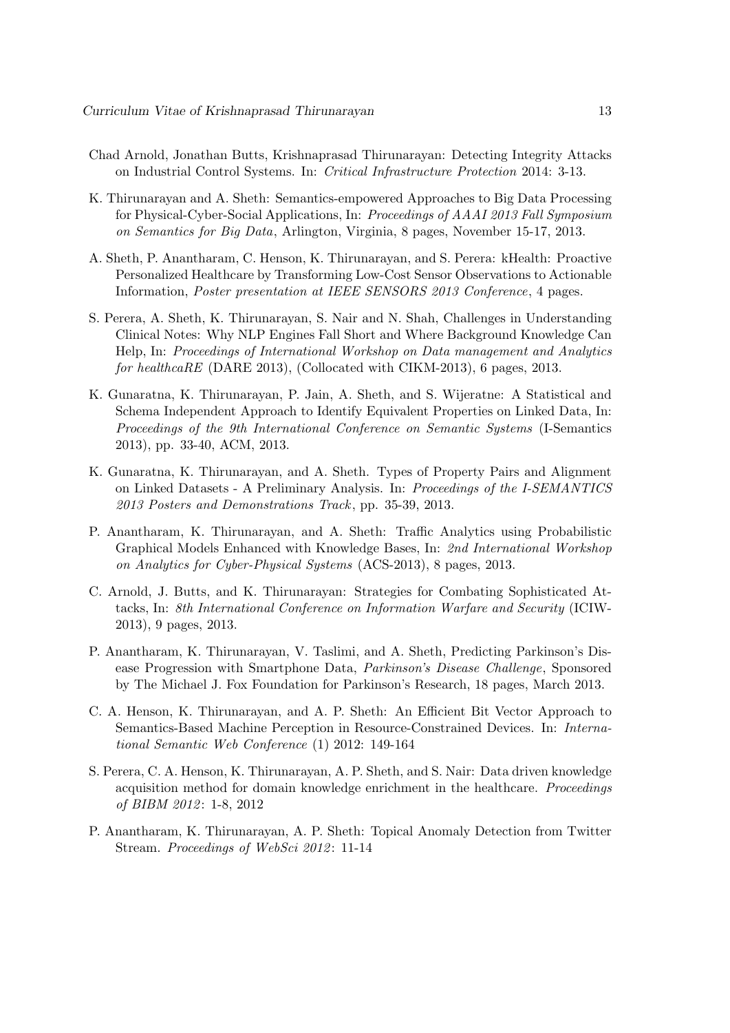- Chad Arnold, Jonathan Butts, Krishnaprasad Thirunarayan: Detecting Integrity Attacks on Industrial Control Systems. In: Critical Infrastructure Protection 2014: 3-13.
- K. Thirunarayan and A. Sheth: Semantics-empowered Approaches to Big Data Processing for Physical-Cyber-Social Applications, In: Proceedings of AAAI 2013 Fall Symposium on Semantics for Big Data, Arlington, Virginia, 8 pages, November 15-17, 2013.
- A. Sheth, P. Anantharam, C. Henson, K. Thirunarayan, and S. Perera: kHealth: Proactive Personalized Healthcare by Transforming Low-Cost Sensor Observations to Actionable Information, *Poster presentation at IEEE SENSORS 2013 Conference*, 4 pages.
- S. Perera, A. Sheth, K. Thirunarayan, S. Nair and N. Shah, Challenges in Understanding Clinical Notes: Why NLP Engines Fall Short and Where Background Knowledge Can Help, In: Proceedings of International Workshop on Data management and Analytics for healthcaRE (DARE 2013), (Collocated with CIKM-2013), 6 pages, 2013.
- K. Gunaratna, K. Thirunarayan, P. Jain, A. Sheth, and S. Wijeratne: A Statistical and Schema Independent Approach to Identify Equivalent Properties on Linked Data, In: Proceedings of the 9th International Conference on Semantic Systems (I-Semantics 2013), pp. 33-40, ACM, 2013.
- K. Gunaratna, K. Thirunarayan, and A. Sheth. Types of Property Pairs and Alignment on Linked Datasets - A Preliminary Analysis. In: Proceedings of the I-SEMANTICS 2013 Posters and Demonstrations Track, pp. 35-39, 2013.
- P. Anantharam, K. Thirunarayan, and A. Sheth: Traffic Analytics using Probabilistic Graphical Models Enhanced with Knowledge Bases, In: 2nd International Workshop on Analytics for Cyber-Physical Systems (ACS-2013), 8 pages, 2013.
- C. Arnold, J. Butts, and K. Thirunarayan: Strategies for Combating Sophisticated Attacks, In: 8th International Conference on Information Warfare and Security (ICIW-2013), 9 pages, 2013.
- P. Anantharam, K. Thirunarayan, V. Taslimi, and A. Sheth, Predicting Parkinson's Disease Progression with Smartphone Data, Parkinson's Disease Challenge, Sponsored by The Michael J. Fox Foundation for Parkinson's Research, 18 pages, March 2013.
- C. A. Henson, K. Thirunarayan, and A. P. Sheth: An Efficient Bit Vector Approach to Semantics-Based Machine Perception in Resource-Constrained Devices. In: International Semantic Web Conference (1) 2012: 149-164
- S. Perera, C. A. Henson, K. Thirunarayan, A. P. Sheth, and S. Nair: Data driven knowledge acquisition method for domain knowledge enrichment in the healthcare. Proceedings of BIBM 2012: 1-8, 2012
- P. Anantharam, K. Thirunarayan, A. P. Sheth: Topical Anomaly Detection from Twitter Stream. Proceedings of WebSci 2012: 11-14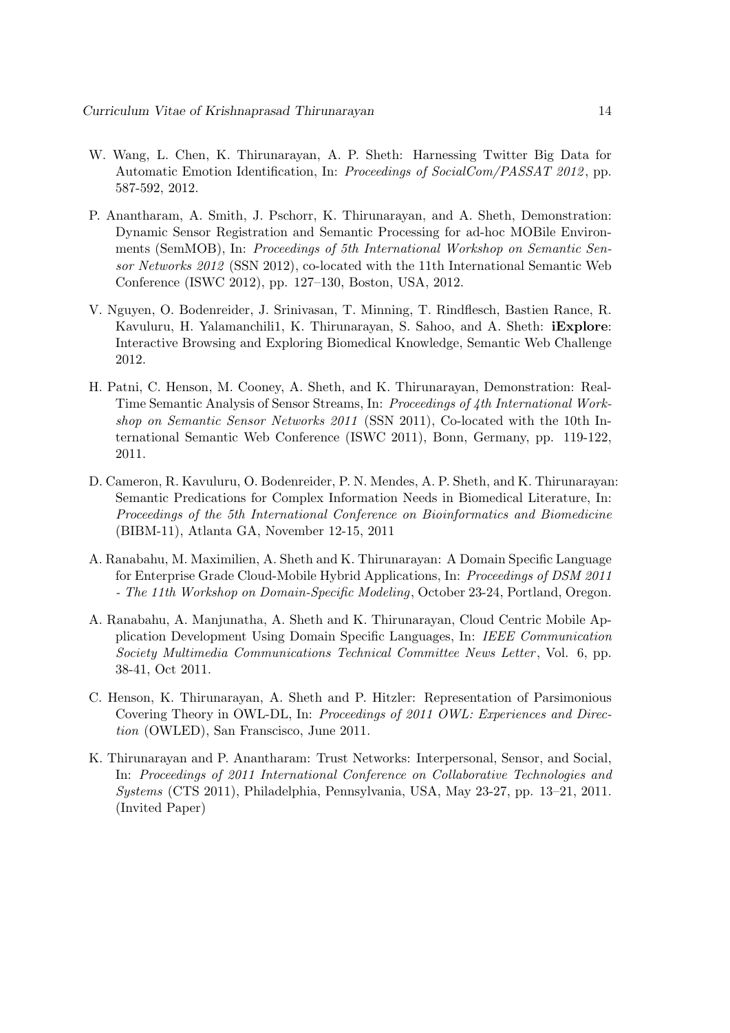- W. Wang, L. Chen, K. Thirunarayan, A. P. Sheth: Harnessing Twitter Big Data for Automatic Emotion Identification, In: *Proceedings of SocialCom/PASSAT 2012*, pp. 587-592, 2012.
- P. Anantharam, A. Smith, J. Pschorr, K. Thirunarayan, and A. Sheth, Demonstration: Dynamic Sensor Registration and Semantic Processing for ad-hoc MOBile Environments (SemMOB), In: Proceedings of 5th International Workshop on Semantic Sensor Networks 2012 (SSN 2012), co-located with the 11th International Semantic Web Conference (ISWC 2012), pp. 127–130, Boston, USA, 2012.
- V. Nguyen, O. Bodenreider, J. Srinivasan, T. Minning, T. Rindflesch, Bastien Rance, R. Kavuluru, H. Yalamanchili1, K. Thirunarayan, S. Sahoo, and A. Sheth: iExplore: Interactive Browsing and Exploring Biomedical Knowledge, Semantic Web Challenge 2012.
- H. Patni, C. Henson, M. Cooney, A. Sheth, and K. Thirunarayan, Demonstration: Real-Time Semantic Analysis of Sensor Streams, In: Proceedings of 4th International Workshop on Semantic Sensor Networks 2011 (SSN 2011), Co-located with the 10th International Semantic Web Conference (ISWC 2011), Bonn, Germany, pp. 119-122, 2011.
- D. Cameron, R. Kavuluru, O. Bodenreider, P. N. Mendes, A. P. Sheth, and K. Thirunarayan: Semantic Predications for Complex Information Needs in Biomedical Literature, In: Proceedings of the 5th International Conference on Bioinformatics and Biomedicine (BIBM-11), Atlanta GA, November 12-15, 2011
- A. Ranabahu, M. Maximilien, A. Sheth and K. Thirunarayan: A Domain Specific Language for Enterprise Grade Cloud-Mobile Hybrid Applications, In: Proceedings of DSM 2011 - The 11th Workshop on Domain-Specific Modeling, October 23-24, Portland, Oregon.
- A. Ranabahu, A. Manjunatha, A. Sheth and K. Thirunarayan, Cloud Centric Mobile Application Development Using Domain Specific Languages, In: IEEE Communication Society Multimedia Communications Technical Committee News Letter , Vol. 6, pp. 38-41, Oct 2011.
- C. Henson, K. Thirunarayan, A. Sheth and P. Hitzler: Representation of Parsimonious Covering Theory in OWL-DL, In: Proceedings of 2011 OWL: Experiences and Direction (OWLED), San Franscisco, June 2011.
- K. Thirunarayan and P. Anantharam: Trust Networks: Interpersonal, Sensor, and Social, In: Proceedings of 2011 International Conference on Collaborative Technologies and Systems (CTS 2011), Philadelphia, Pennsylvania, USA, May 23-27, pp. 13–21, 2011. (Invited Paper)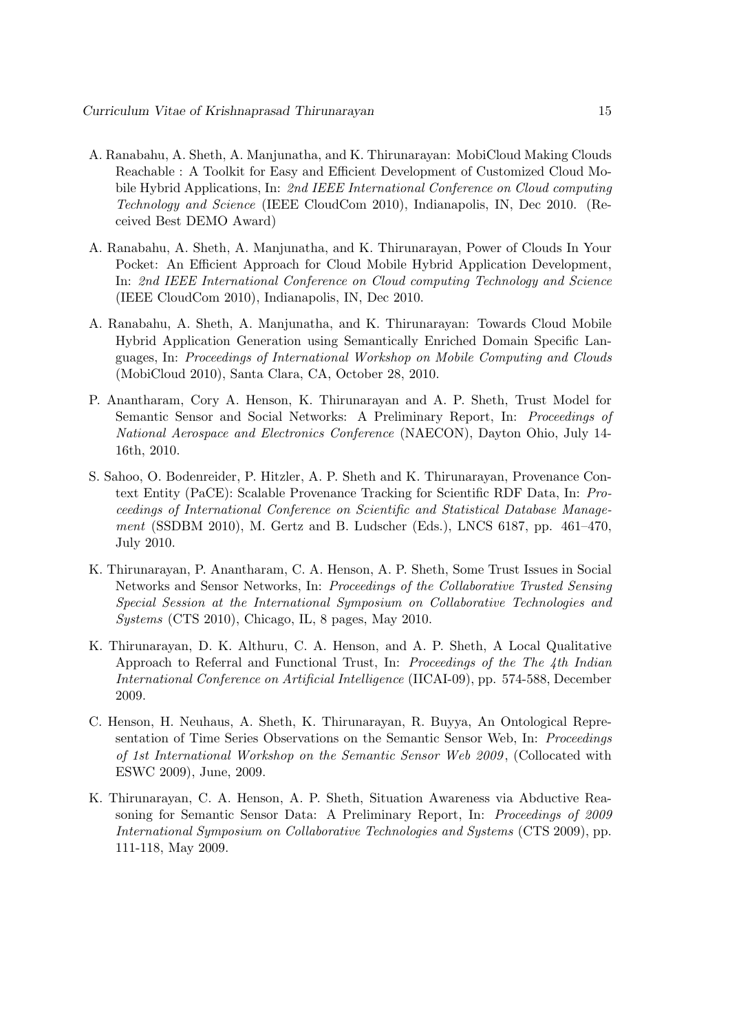- A. Ranabahu, A. Sheth, A. Manjunatha, and K. Thirunarayan: MobiCloud Making Clouds Reachable : A Toolkit for Easy and Efficient Development of Customized Cloud Mobile Hybrid Applications, In: 2nd IEEE International Conference on Cloud computing Technology and Science (IEEE CloudCom 2010), Indianapolis, IN, Dec 2010. (Received Best DEMO Award)
- A. Ranabahu, A. Sheth, A. Manjunatha, and K. Thirunarayan, Power of Clouds In Your Pocket: An Efficient Approach for Cloud Mobile Hybrid Application Development, In: 2nd IEEE International Conference on Cloud computing Technology and Science (IEEE CloudCom 2010), Indianapolis, IN, Dec 2010.
- A. Ranabahu, A. Sheth, A. Manjunatha, and K. Thirunarayan: Towards Cloud Mobile Hybrid Application Generation using Semantically Enriched Domain Specific Languages, In: Proceedings of International Workshop on Mobile Computing and Clouds (MobiCloud 2010), Santa Clara, CA, October 28, 2010.
- P. Anantharam, Cory A. Henson, K. Thirunarayan and A. P. Sheth, Trust Model for Semantic Sensor and Social Networks: A Preliminary Report, In: Proceedings of National Aerospace and Electronics Conference (NAECON), Dayton Ohio, July 14- 16th, 2010.
- S. Sahoo, O. Bodenreider, P. Hitzler, A. P. Sheth and K. Thirunarayan, Provenance Context Entity (PaCE): Scalable Provenance Tracking for Scientific RDF Data, In: Proceedings of International Conference on Scientific and Statistical Database Management (SSDBM 2010), M. Gertz and B. Ludscher (Eds.), LNCS 6187, pp. 461–470, July 2010.
- K. Thirunarayan, P. Anantharam, C. A. Henson, A. P. Sheth, Some Trust Issues in Social Networks and Sensor Networks, In: Proceedings of the Collaborative Trusted Sensing Special Session at the International Symposium on Collaborative Technologies and Systems (CTS 2010), Chicago, IL, 8 pages, May 2010.
- K. Thirunarayan, D. K. Althuru, C. A. Henson, and A. P. Sheth, A Local Qualitative Approach to Referral and Functional Trust, In: Proceedings of the The 4th Indian International Conference on Artificial Intelligence (IICAI-09), pp. 574-588, December 2009.
- C. Henson, H. Neuhaus, A. Sheth, K. Thirunarayan, R. Buyya, An Ontological Representation of Time Series Observations on the Semantic Sensor Web, In: Proceedings of 1st International Workshop on the Semantic Sensor Web 2009 , (Collocated with ESWC 2009), June, 2009.
- K. Thirunarayan, C. A. Henson, A. P. Sheth, Situation Awareness via Abductive Reasoning for Semantic Sensor Data: A Preliminary Report, In: Proceedings of 2009 International Symposium on Collaborative Technologies and Systems (CTS 2009), pp. 111-118, May 2009.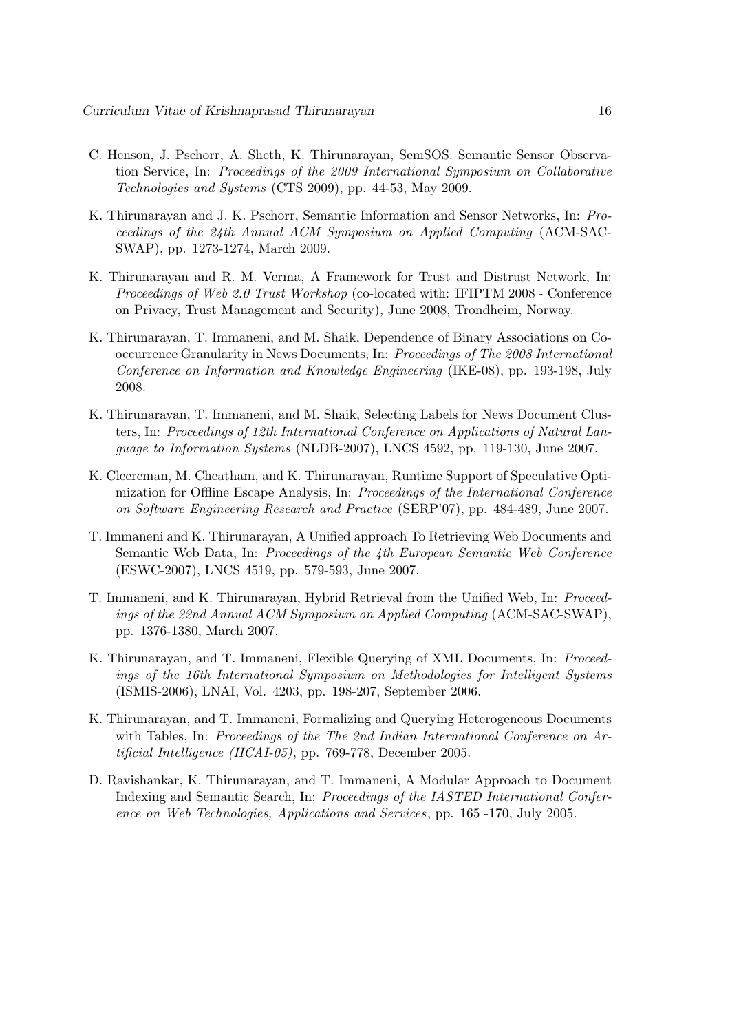- C. Henson, J. Pschorr, A. Sheth, K. Thirunarayan, SemSOS: Semantic Sensor Observation Service, In: Proceedings of the 2009 International Symposium on Collaborative Technologies and Systems (CTS 2009), pp. 44-53, May 2009.
- K. Thirunarayan and J. K. Pschorr, Semantic Information and Sensor Networks, In: Proceedings of the 24th Annual ACM Symposium on Applied Computing (ACM-SAC-SWAP), pp. 1273-1274, March 2009.
- K. Thirunarayan and R. M. Verma, A Framework for Trust and Distrust Network, In: Proceedings of Web 2.0 Trust Workshop (co-located with: IFIPTM 2008 - Conference on Privacy, Trust Management and Security), June 2008, Trondheim, Norway.
- K. Thirunarayan, T. Immaneni, and M. Shaik, Dependence of Binary Associations on Cooccurrence Granularity in News Documents, In: Proceedings of The 2008 International Conference on Information and Knowledge Engineering (IKE-08), pp. 193-198, July 2008.
- K. Thirunarayan, T. Immaneni, and M. Shaik, Selecting Labels for News Document Clusters, In: Proceedings of 12th International Conference on Applications of Natural Language to Information Systems (NLDB-2007), LNCS 4592, pp. 119-130, June 2007.
- K. Cleereman, M. Cheatham, and K. Thirunarayan, Runtime Support of Speculative Optimization for Offline Escape Analysis, In: Proceedings of the International Conference on Software Engineering Research and Practice (SERP'07), pp. 484-489, June 2007.
- T. Immaneni and K. Thirunarayan, A Unified approach To Retrieving Web Documents and Semantic Web Data, In: Proceedings of the 4th European Semantic Web Conference (ESWC-2007), LNCS 4519, pp. 579-593, June 2007.
- T. Immaneni, and K. Thirunarayan, Hybrid Retrieval from the Unified Web, In: Proceedings of the 22nd Annual ACM Symposium on Applied Computing (ACM-SAC-SWAP), pp. 1376-1380, March 2007.
- K. Thirunarayan, and T. Immaneni, Flexible Querying of XML Documents, In: Proceedings of the 16th International Symposium on Methodologies for Intelligent Systems (ISMIS-2006), LNAI, Vol. 4203, pp. 198-207, September 2006.
- K. Thirunarayan, and T. Immaneni, Formalizing and Querying Heterogeneous Documents with Tables, In: Proceedings of the The 2nd Indian International Conference on Artificial Intelligence (IICAI-05), pp. 769-778, December 2005.
- D. Ravishankar, K. Thirunarayan, and T. Immaneni, A Modular Approach to Document Indexing and Semantic Search, In: Proceedings of the IASTED International Conference on Web Technologies, Applications and Services, pp. 165 -170, July 2005.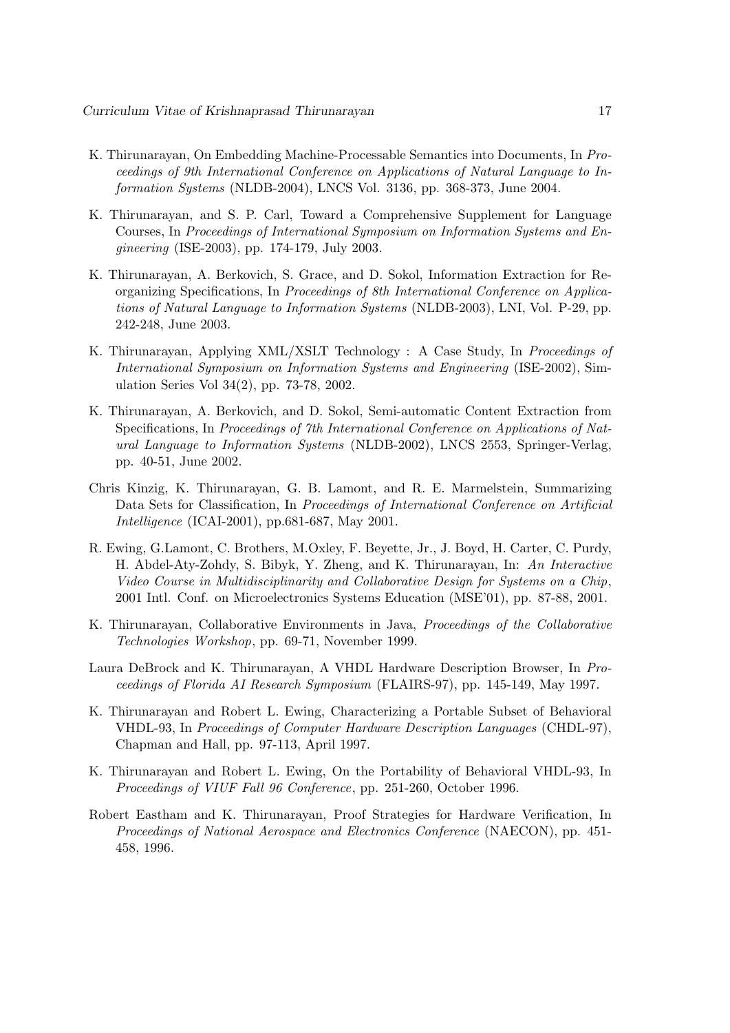- K. Thirunarayan, On Embedding Machine-Processable Semantics into Documents, In Proceedings of 9th International Conference on Applications of Natural Language to Information Systems (NLDB-2004), LNCS Vol. 3136, pp. 368-373, June 2004.
- K. Thirunarayan, and S. P. Carl, Toward a Comprehensive Supplement for Language Courses, In Proceedings of International Symposium on Information Systems and Engineering (ISE-2003), pp. 174-179, July 2003.
- K. Thirunarayan, A. Berkovich, S. Grace, and D. Sokol, Information Extraction for Reorganizing Specifications, In Proceedings of 8th International Conference on Applications of Natural Language to Information Systems (NLDB-2003), LNI, Vol. P-29, pp. 242-248, June 2003.
- K. Thirunarayan, Applying XML/XSLT Technology : A Case Study, In Proceedings of International Symposium on Information Systems and Engineering (ISE-2002), Simulation Series Vol 34(2), pp. 73-78, 2002.
- K. Thirunarayan, A. Berkovich, and D. Sokol, Semi-automatic Content Extraction from Specifications, In Proceedings of 7th International Conference on Applications of Natural Language to Information Systems (NLDB-2002), LNCS 2553, Springer-Verlag, pp. 40-51, June 2002.
- Chris Kinzig, K. Thirunarayan, G. B. Lamont, and R. E. Marmelstein, Summarizing Data Sets for Classification, In Proceedings of International Conference on Artificial Intelligence (ICAI-2001), pp.681-687, May 2001.
- R. Ewing, G.Lamont, C. Brothers, M.Oxley, F. Beyette, Jr., J. Boyd, H. Carter, C. Purdy, H. Abdel-Aty-Zohdy, S. Bibyk, Y. Zheng, and K. Thirunarayan, In: An Interactive Video Course in Multidisciplinarity and Collaborative Design for Systems on a Chip, 2001 Intl. Conf. on Microelectronics Systems Education (MSE'01), pp. 87-88, 2001.
- K. Thirunarayan, Collaborative Environments in Java, Proceedings of the Collaborative Technologies Workshop, pp. 69-71, November 1999.
- Laura DeBrock and K. Thirunarayan, A VHDL Hardware Description Browser, In Proceedings of Florida AI Research Symposium (FLAIRS-97), pp. 145-149, May 1997.
- K. Thirunarayan and Robert L. Ewing, Characterizing a Portable Subset of Behavioral VHDL-93, In Proceedings of Computer Hardware Description Languages (CHDL-97), Chapman and Hall, pp. 97-113, April 1997.
- K. Thirunarayan and Robert L. Ewing, On the Portability of Behavioral VHDL-93, In Proceedings of VIUF Fall 96 Conference, pp. 251-260, October 1996.
- Robert Eastham and K. Thirunarayan, Proof Strategies for Hardware Verification, In Proceedings of National Aerospace and Electronics Conference (NAECON), pp. 451- 458, 1996.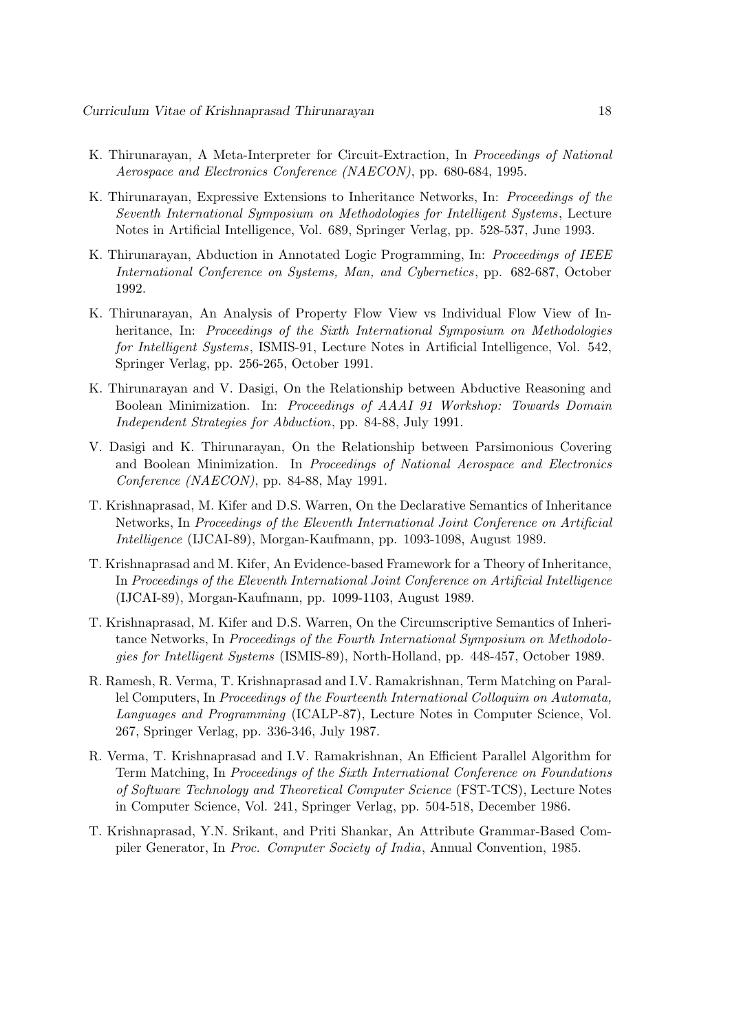- K. Thirunarayan, A Meta-Interpreter for Circuit-Extraction, In Proceedings of National Aerospace and Electronics Conference (NAECON), pp. 680-684, 1995.
- K. Thirunarayan, Expressive Extensions to Inheritance Networks, In: Proceedings of the Seventh International Symposium on Methodologies for Intelligent Systems , Lecture Notes in Artificial Intelligence, Vol. 689, Springer Verlag, pp. 528-537, June 1993.
- K. Thirunarayan, Abduction in Annotated Logic Programming, In: Proceedings of IEEE International Conference on Systems, Man, and Cybernetics, pp. 682-687, October 1992.
- K. Thirunarayan, An Analysis of Property Flow View vs Individual Flow View of Inheritance, In: Proceedings of the Sixth International Symposium on Methodologies for Intelligent Systems, ISMIS-91, Lecture Notes in Artificial Intelligence, Vol. 542, Springer Verlag, pp. 256-265, October 1991.
- K. Thirunarayan and V. Dasigi, On the Relationship between Abductive Reasoning and Boolean Minimization. In: Proceedings of AAAI 91 Workshop: Towards Domain Independent Strategies for Abduction, pp. 84-88, July 1991.
- V. Dasigi and K. Thirunarayan, On the Relationship between Parsimonious Covering and Boolean Minimization. In Proceedings of National Aerospace and Electronics Conference (NAECON), pp. 84-88, May 1991.
- T. Krishnaprasad, M. Kifer and D.S. Warren, On the Declarative Semantics of Inheritance Networks, In Proceedings of the Eleventh International Joint Conference on Artificial Intelligence (IJCAI-89), Morgan-Kaufmann, pp. 1093-1098, August 1989.
- T. Krishnaprasad and M. Kifer, An Evidence-based Framework for a Theory of Inheritance, In Proceedings of the Eleventh International Joint Conference on Artificial Intelligence (IJCAI-89), Morgan-Kaufmann, pp. 1099-1103, August 1989.
- T. Krishnaprasad, M. Kifer and D.S. Warren, On the Circumscriptive Semantics of Inheritance Networks, In Proceedings of the Fourth International Symposium on Methodologies for Intelligent Systems (ISMIS-89), North-Holland, pp. 448-457, October 1989.
- R. Ramesh, R. Verma, T. Krishnaprasad and I.V. Ramakrishnan, Term Matching on Parallel Computers, In Proceedings of the Fourteenth International Colloquim on Automata, Languages and Programming (ICALP-87), Lecture Notes in Computer Science, Vol. 267, Springer Verlag, pp. 336-346, July 1987.
- R. Verma, T. Krishnaprasad and I.V. Ramakrishnan, An Efficient Parallel Algorithm for Term Matching, In Proceedings of the Sixth International Conference on Foundations of Software Technology and Theoretical Computer Science (FST-TCS), Lecture Notes in Computer Science, Vol. 241, Springer Verlag, pp. 504-518, December 1986.
- T. Krishnaprasad, Y.N. Srikant, and Priti Shankar, An Attribute Grammar-Based Compiler Generator, In Proc. Computer Society of India, Annual Convention, 1985.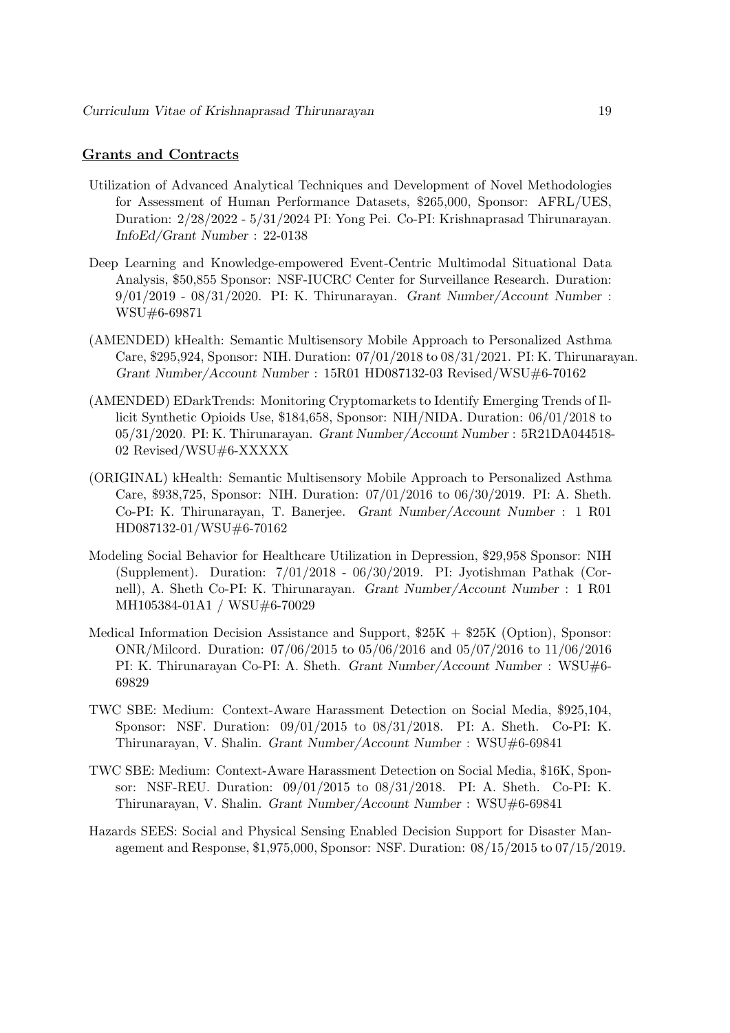### Grants and Contracts

- Utilization of Advanced Analytical Techniques and Development of Novel Methodologies for Assessment of Human Performance Datasets, \$265,000, Sponsor: AFRL/UES, Duration: 2/28/2022 - 5/31/2024 PI: Yong Pei. Co-PI: Krishnaprasad Thirunarayan. InfoEd/Grant Number : 22-0138
- Deep Learning and Knowledge-empowered Event-Centric Multimodal Situational Data Analysis, \$50,855 Sponsor: NSF-IUCRC Center for Surveillance Research. Duration: 9/01/2019 - 08/31/2020. PI: K. Thirunarayan. Grant Number/Account Number : WSU#6-69871
- (AMENDED) kHealth: Semantic Multisensory Mobile Approach to Personalized Asthma Care, \$295,924, Sponsor: NIH. Duration: 07/01/2018 to 08/31/2021. PI: K. Thirunarayan. Grant Number/Account Number : 15R01 HD087132-03 Revised/WSU#6-70162
- (AMENDED) EDarkTrends: Monitoring Cryptomarkets to Identify Emerging Trends of Illicit Synthetic Opioids Use, \$184,658, Sponsor: NIH/NIDA. Duration: 06/01/2018 to 05/31/2020. PI: K. Thirunarayan. Grant Number/Account Number : 5R21DA044518- 02 Revised/WSU#6-XXXXX
- (ORIGINAL) kHealth: Semantic Multisensory Mobile Approach to Personalized Asthma Care, \$938,725, Sponsor: NIH. Duration: 07/01/2016 to 06/30/2019. PI: A. Sheth. Co-PI: K. Thirunarayan, T. Banerjee. Grant Number/Account Number : 1 R01 HD087132-01/WSU#6-70162
- Modeling Social Behavior for Healthcare Utilization in Depression, \$29,958 Sponsor: NIH (Supplement). Duration: 7/01/2018 - 06/30/2019. PI: Jyotishman Pathak (Cornell), A. Sheth Co-PI: K. Thirunarayan. Grant Number/Account Number : 1 R01 MH105384-01A1 / WSU#6-70029
- Medical Information Decision Assistance and Support,  $$25K + $25K$  (Option), Sponsor: ONR/Milcord. Duration: 07/06/2015 to 05/06/2016 and 05/07/2016 to 11/06/2016 PI: K. Thirunarayan Co-PI: A. Sheth. Grant Number/Account Number : WSU#6- 69829
- TWC SBE: Medium: Context-Aware Harassment Detection on Social Media, \$925,104, Sponsor: NSF. Duration: 09/01/2015 to 08/31/2018. PI: A. Sheth. Co-PI: K. Thirunarayan, V. Shalin. Grant Number/Account Number : WSU#6-69841
- TWC SBE: Medium: Context-Aware Harassment Detection on Social Media, \$16K, Sponsor: NSF-REU. Duration: 09/01/2015 to 08/31/2018. PI: A. Sheth. Co-PI: K. Thirunarayan, V. Shalin. Grant Number/Account Number : WSU#6-69841
- Hazards SEES: Social and Physical Sensing Enabled Decision Support for Disaster Management and Response, \$1,975,000, Sponsor: NSF. Duration: 08/15/2015 to 07/15/2019.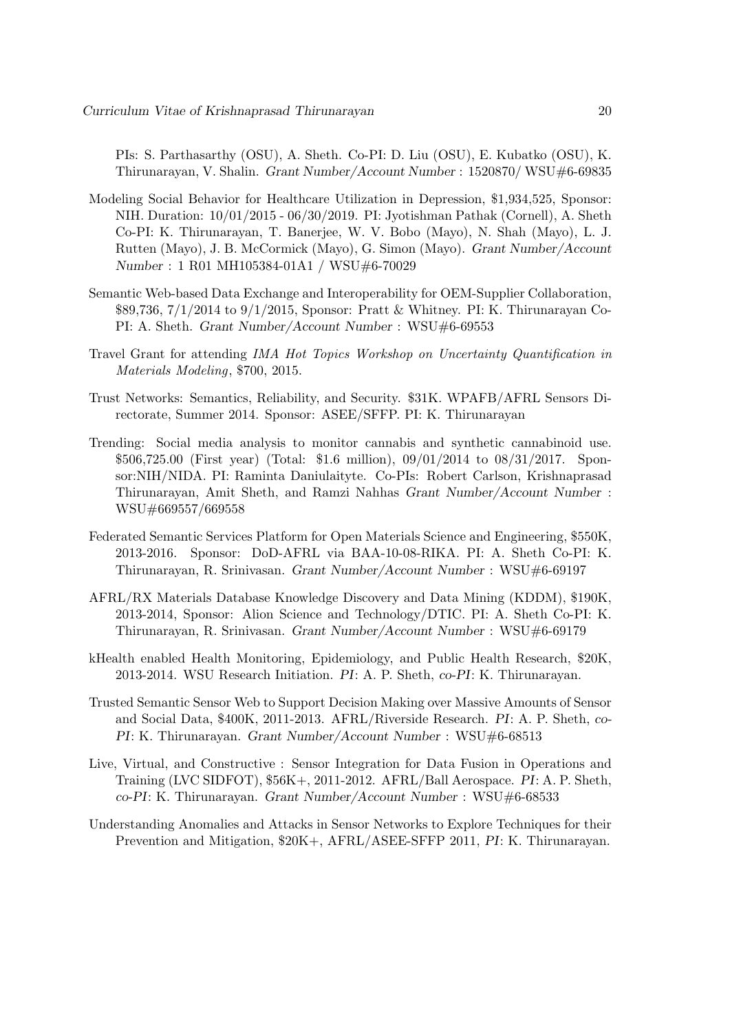PIs: S. Parthasarthy (OSU), A. Sheth. Co-PI: D. Liu (OSU), E. Kubatko (OSU), K. Thirunarayan, V. Shalin. Grant Number/Account Number : 1520870/ WSU#6-69835

- Modeling Social Behavior for Healthcare Utilization in Depression, \$1,934,525, Sponsor: NIH. Duration: 10/01/2015 - 06/30/2019. PI: Jyotishman Pathak (Cornell), A. Sheth Co-PI: K. Thirunarayan, T. Banerjee, W. V. Bobo (Mayo), N. Shah (Mayo), L. J. Rutten (Mayo), J. B. McCormick (Mayo), G. Simon (Mayo). Grant Number/Account Number : 1 R01 MH105384-01A1 / WSU#6-70029
- Semantic Web-based Data Exchange and Interoperability for OEM-Supplier Collaboration, \$89,736, 7/1/2014 to 9/1/2015, Sponsor: Pratt & Whitney. PI: K. Thirunarayan Co-PI: A. Sheth. Grant Number/Account Number : WSU#6-69553
- Travel Grant for attending IMA Hot Topics Workshop on Uncertainty Quantification in Materials Modeling, \$700, 2015.
- Trust Networks: Semantics, Reliability, and Security. \$31K. WPAFB/AFRL Sensors Directorate, Summer 2014. Sponsor: ASEE/SFFP. PI: K. Thirunarayan
- Trending: Social media analysis to monitor cannabis and synthetic cannabinoid use. \$506,725.00 (First year) (Total: \$1.6 million), 09/01/2014 to 08/31/2017. Sponsor:NIH/NIDA. PI: Raminta Daniulaityte. Co-PIs: Robert Carlson, Krishnaprasad Thirunarayan, Amit Sheth, and Ramzi Nahhas Grant Number/Account Number : WSU#669557/669558
- Federated Semantic Services Platform for Open Materials Science and Engineering, \$550K, 2013-2016. Sponsor: DoD-AFRL via BAA-10-08-RIKA. PI: A. Sheth Co-PI: K. Thirunarayan, R. Srinivasan. Grant Number/Account Number : WSU#6-69197
- AFRL/RX Materials Database Knowledge Discovery and Data Mining (KDDM), \$190K, 2013-2014, Sponsor: Alion Science and Technology/DTIC. PI: A. Sheth Co-PI: K. Thirunarayan, R. Srinivasan. Grant Number/Account Number : WSU#6-69179
- kHealth enabled Health Monitoring, Epidemiology, and Public Health Research, \$20K, 2013-2014. WSU Research Initiation. PI: A. P. Sheth, co-PI: K. Thirunarayan.
- Trusted Semantic Sensor Web to Support Decision Making over Massive Amounts of Sensor and Social Data, \$400K, 2011-2013. AFRL/Riverside Research. PI: A. P. Sheth, co-PI: K. Thirunarayan. Grant Number/Account Number : WSU#6-68513
- Live, Virtual, and Constructive : Sensor Integration for Data Fusion in Operations and Training (LVC SIDFOT), \$56K+, 2011-2012. AFRL/Ball Aerospace. PI: A. P. Sheth, co-PI: K. Thirunarayan. Grant Number/Account Number : WSU#6-68533
- Understanding Anomalies and Attacks in Sensor Networks to Explore Techniques for their Prevention and Mitigation, \$20K+, AFRL/ASEE-SFFP 2011, PI: K. Thirunarayan.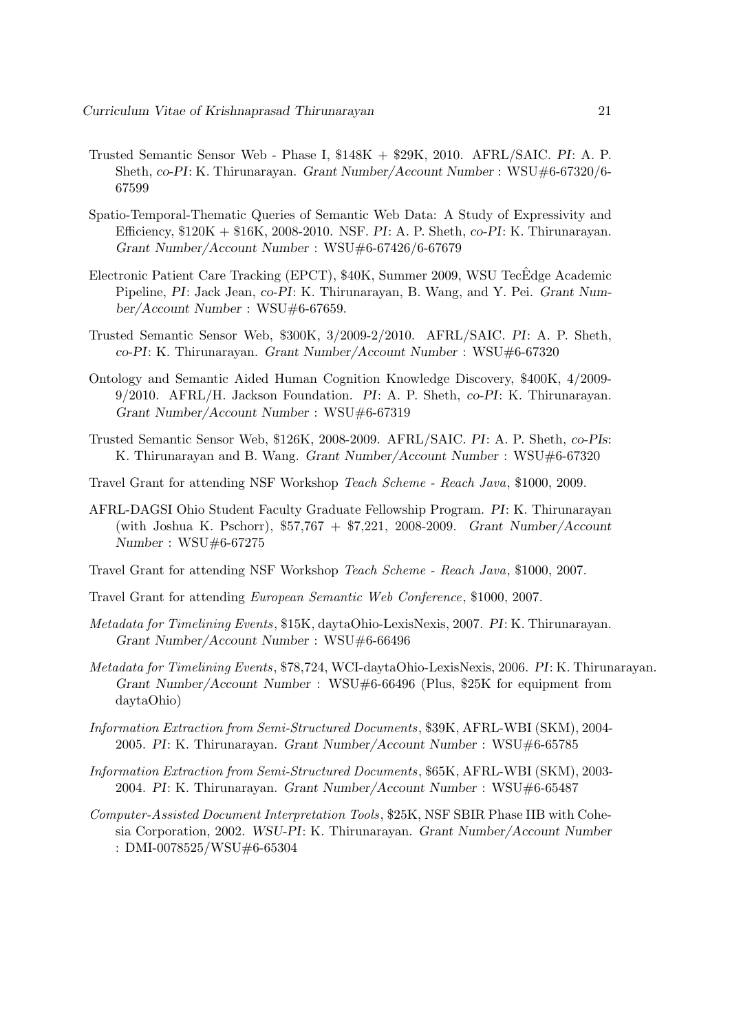- Trusted Semantic Sensor Web Phase I, \$148K + \$29K, 2010. AFRL/SAIC. PI: A. P. Sheth, co-PI: K. Thirunarayan. Grant Number/Account Number : WSU#6-67320/6- 67599
- Spatio-Temporal-Thematic Queries of Semantic Web Data: A Study of Expressivity and Efficiency, \$120K + \$16K, 2008-2010. NSF. PI: A. P. Sheth, co-PI: K. Thirunarayan. Grant Number/Account Number : WSU#6-67426/6-67679
- Electronic Patient Care Tracking (EPCT), \$40K, Summer 2009, WSU TecÊdge Academic Pipeline, PI: Jack Jean, co-PI: K. Thirunarayan, B. Wang, and Y. Pei. Grant Number/Account Number : WSU#6-67659.
- Trusted Semantic Sensor Web, \$300K, 3/2009-2/2010. AFRL/SAIC. PI: A. P. Sheth, co-PI: K. Thirunarayan. Grant Number/Account Number : WSU#6-67320
- Ontology and Semantic Aided Human Cognition Knowledge Discovery, \$400K, 4/2009- 9/2010. AFRL/H. Jackson Foundation. PI: A. P. Sheth, co-PI: K. Thirunarayan. Grant Number/Account Number : WSU#6-67319
- Trusted Semantic Sensor Web, \$126K, 2008-2009. AFRL/SAIC. PI: A. P. Sheth, co-PIs: K. Thirunarayan and B. Wang. Grant Number/Account Number : WSU#6-67320
- Travel Grant for attending NSF Workshop Teach Scheme Reach Java, \$1000, 2009.
- AFRL-DAGSI Ohio Student Faculty Graduate Fellowship Program. PI: K. Thirunarayan (with Joshua K. Pschorr), \$57,767 + \$7,221, 2008-2009. Grant Number/Account Number : WSU#6-67275
- Travel Grant for attending NSF Workshop Teach Scheme Reach Java, \$1000, 2007.
- Travel Grant for attending European Semantic Web Conference, \$1000, 2007.
- Metadata for Timelining Events, \$15K, daytaOhio-LexisNexis, 2007. PI: K. Thirunarayan. Grant Number/Account Number : WSU#6-66496
- Metadata for Timelining Events, \$78,724, WCI-daytaOhio-LexisNexis, 2006. PI: K. Thirunarayan. Grant Number/Account Number : WSU#6-66496 (Plus, \$25K for equipment from daytaOhio)
- Information Extraction from Semi-Structured Documents, \$39K, AFRL-WBI (SKM), 2004- 2005. PI: K. Thirunarayan. Grant Number/Account Number : WSU#6-65785
- Information Extraction from Semi-Structured Documents, \$65K, AFRL-WBI (SKM), 2003- 2004. PI: K. Thirunarayan. Grant Number/Account Number : WSU#6-65487
- Computer-Assisted Document Interpretation Tools, \$25K, NSF SBIR Phase IIB with Cohesia Corporation, 2002. WSU-PI: K. Thirunarayan. Grant Number/Account Number : DMI-0078525/WSU#6-65304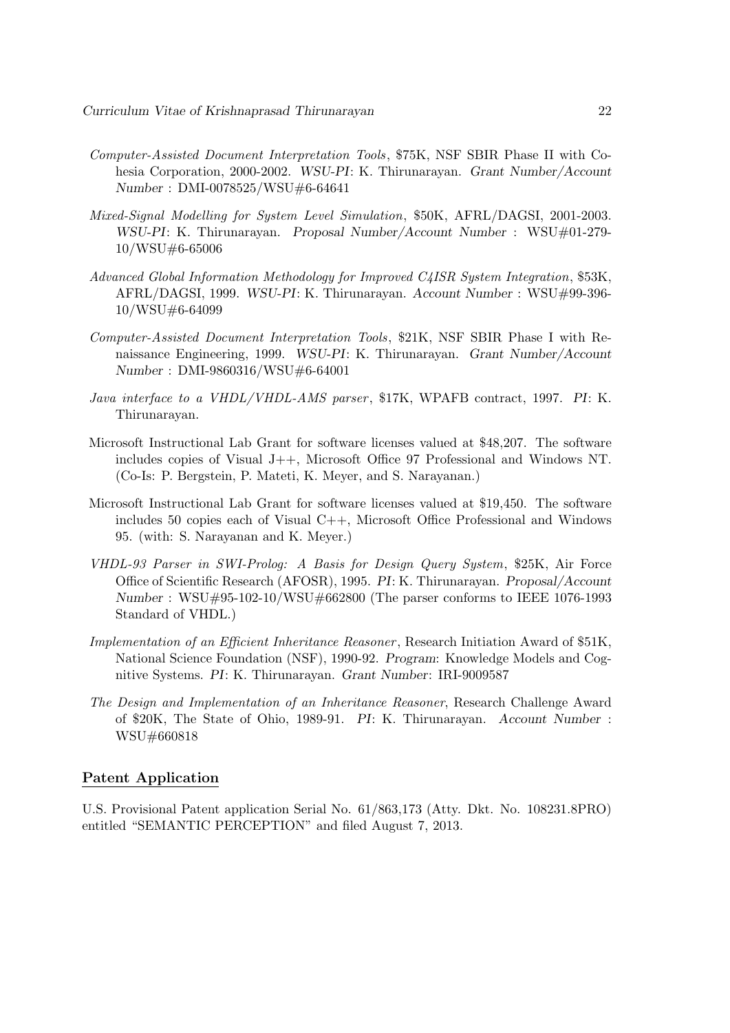- Computer-Assisted Document Interpretation Tools, \$75K, NSF SBIR Phase II with Cohesia Corporation, 2000-2002. WSU-PI: K. Thirunarayan. Grant Number/Account Number : DMI-0078525/WSU#6-64641
- Mixed-Signal Modelling for System Level Simulation, \$50K, AFRL/DAGSI, 2001-2003. WSU-PI: K. Thirunarayan. Proposal Number/Account Number : WSU#01-279- 10/WSU#6-65006
- Advanced Global Information Methodology for Improved C4ISR System Integration, \$53K, AFRL/DAGSI, 1999. WSU-PI: K. Thirunarayan. Account Number : WSU#99-396- 10/WSU#6-64099
- Computer-Assisted Document Interpretation Tools, \$21K, NSF SBIR Phase I with Renaissance Engineering, 1999. WSU-PI: K. Thirunarayan. Grant Number/Account Number : DMI-9860316/WSU#6-64001
- Java interface to a VHDL/VHDL-AMS parser, \$17K, WPAFB contract, 1997. PI: K. Thirunarayan.
- Microsoft Instructional Lab Grant for software licenses valued at \$48,207. The software includes copies of Visual J++, Microsoft Office 97 Professional and Windows NT. (Co-Is: P. Bergstein, P. Mateti, K. Meyer, and S. Narayanan.)
- Microsoft Instructional Lab Grant for software licenses valued at \$19,450. The software includes 50 copies each of Visual C++, Microsoft Office Professional and Windows 95. (with: S. Narayanan and K. Meyer.)
- VHDL-93 Parser in SWI-Prolog: A Basis for Design Query System, \$25K, Air Force Office of Scientific Research (AFOSR), 1995. PI: K. Thirunarayan. Proposal/Account Number : WSU#95-102-10/WSU#662800 (The parser conforms to IEEE 1076-1993 Standard of VHDL.)
- Implementation of an Efficient Inheritance Reasoner, Research Initiation Award of \$51K, National Science Foundation (NSF), 1990-92. Program: Knowledge Models and Cognitive Systems. PI: K. Thirunarayan. Grant Number: IRI-9009587
- The Design and Implementation of an Inheritance Reasoner, Research Challenge Award of \$20K, The State of Ohio, 1989-91. PI: K. Thirunarayan. Account Number : WSU#660818

#### Patent Application

U.S. Provisional Patent application Serial No. 61/863,173 (Atty. Dkt. No. 108231.8PRO) entitled "SEMANTIC PERCEPTION" and filed August 7, 2013.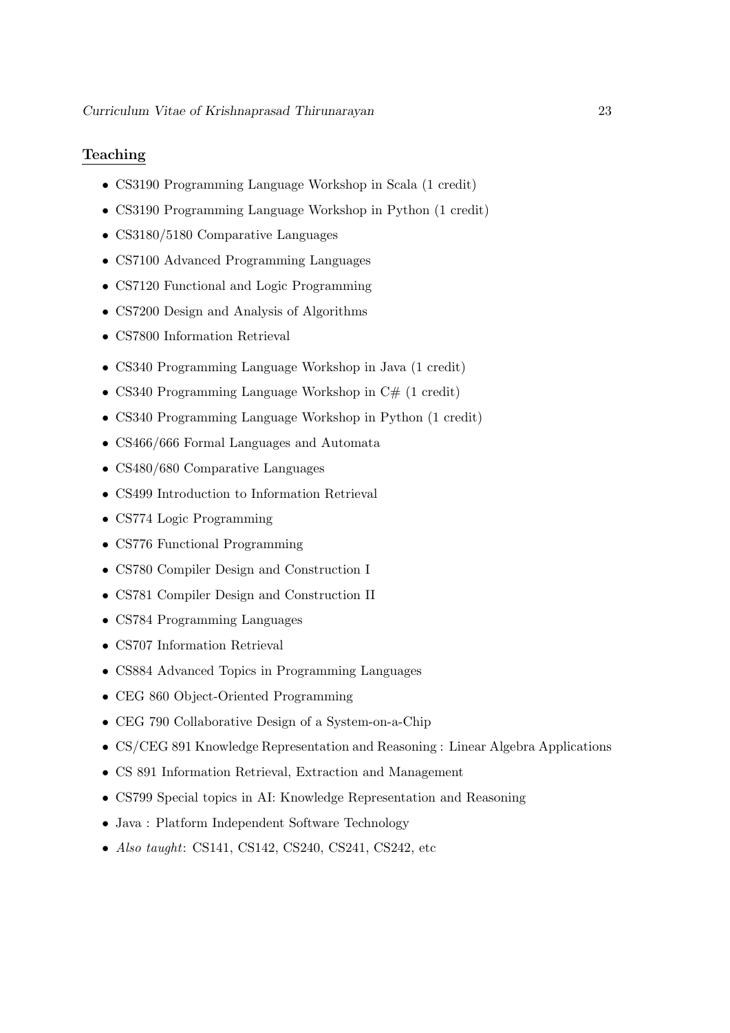### Teaching

- CS3190 Programming Language Workshop in Scala (1 credit)
- CS3190 Programming Language Workshop in Python (1 credit)
- CS3180/5180 Comparative Languages
- CS7100 Advanced Programming Languages
- CS7120 Functional and Logic Programming
- CS7200 Design and Analysis of Algorithms
- CS7800 Information Retrieval
- CS340 Programming Language Workshop in Java (1 credit)
- CS340 Programming Language Workshop in  $C#$  (1 credit)
- CS340 Programming Language Workshop in Python (1 credit)
- CS466/666 Formal Languages and Automata
- CS480/680 Comparative Languages
- CS499 Introduction to Information Retrieval
- CS774 Logic Programming
- CS776 Functional Programming
- CS780 Compiler Design and Construction I
- CS781 Compiler Design and Construction II
- CS784 Programming Languages
- CS707 Information Retrieval
- CS884 Advanced Topics in Programming Languages
- CEG 860 Object-Oriented Programming
- CEG 790 Collaborative Design of a System-on-a-Chip
- CS/CEG 891 Knowledge Representation and Reasoning : Linear Algebra Applications
- CS 891 Information Retrieval, Extraction and Management
- CS799 Special topics in AI: Knowledge Representation and Reasoning
- Java : Platform Independent Software Technology
- Also taught: CS141, CS142, CS240, CS241, CS242, etc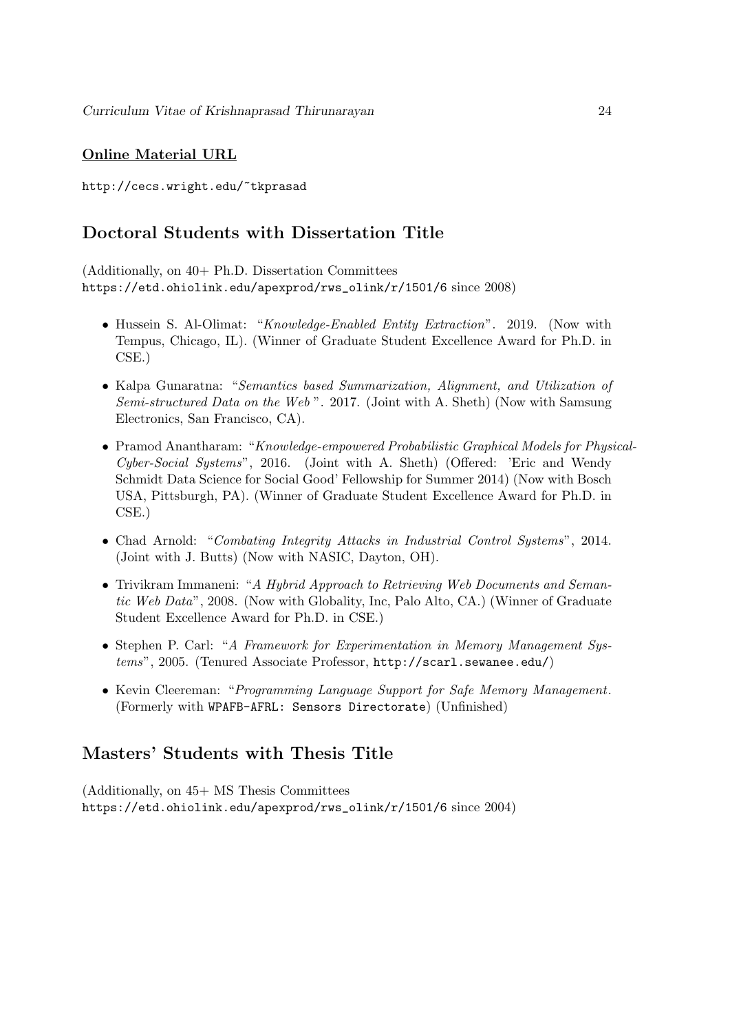### Online Material URL

http://cecs.wright.edu/~tkprasad

## Doctoral Students with Dissertation Title

(Additionally, on 40+ Ph.D. Dissertation Committees https://etd.ohiolink.edu/apexprod/rws\_olink/r/1501/6 since 2008)

- Hussein S. Al-Olimat: "*Knowledge-Enabled Entity Extraction*". 2019. (Now with Tempus, Chicago, IL). (Winner of Graduate Student Excellence Award for Ph.D. in CSE.)
- Kalpa Gunaratna: "Semantics based Summarization, Alignment, and Utilization of Semi-structured Data on the Web ". 2017. (Joint with A. Sheth) (Now with Samsung Electronics, San Francisco, CA).
- Pramod Anantharam: "Knowledge-empowered Probabilistic Graphical Models for Physical-Cyber-Social Systems", 2016. (Joint with A. Sheth) (Offered: 'Eric and Wendy Schmidt Data Science for Social Good' Fellowship for Summer 2014) (Now with Bosch USA, Pittsburgh, PA). (Winner of Graduate Student Excellence Award for Ph.D. in CSE.)
- Chad Arnold: "Combating Integrity Attacks in Industrial Control Systems", 2014. (Joint with J. Butts) (Now with NASIC, Dayton, OH).
- Trivikram Immaneni: "A Hybrid Approach to Retrieving Web Documents and Semantic Web Data", 2008. (Now with Globality, Inc, Palo Alto, CA.) (Winner of Graduate Student Excellence Award for Ph.D. in CSE.)
- Stephen P. Carl: "A Framework for Experimentation in Memory Management Systems", 2005. (Tenured Associate Professor, http://scarl.sewanee.edu/)
- Kevin Cleereman: "Programming Language Support for Safe Memory Management. (Formerly with WPAFB-AFRL: Sensors Directorate) (Unfinished)

## Masters' Students with Thesis Title

(Additionally, on 45+ MS Thesis Committees https://etd.ohiolink.edu/apexprod/rws\_olink/r/1501/6 since 2004)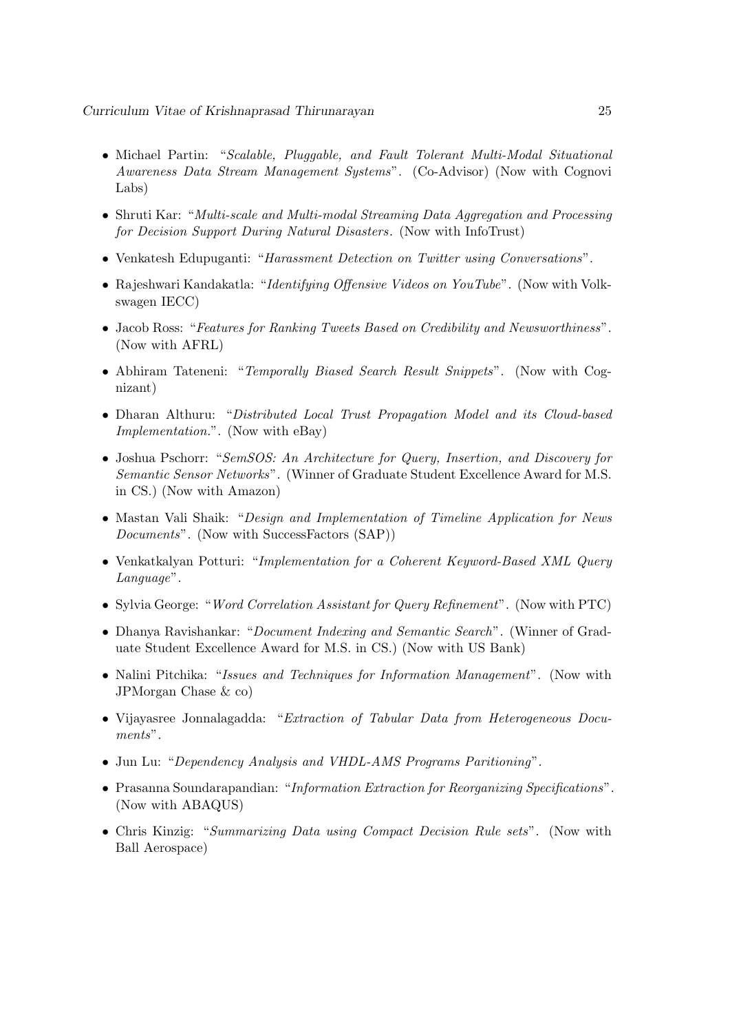- Michael Partin: "Scalable, Pluggable, and Fault Tolerant Multi-Modal Situational Awareness Data Stream Management Systems". (Co-Advisor) (Now with Cognovi Labs)
- Shruti Kar: "Multi-scale and Multi-modal Streaming Data Aggregation and Processing for Decision Support During Natural Disasters. (Now with InfoTrust)
- Venkatesh Edupuganti: "Harassment Detection on Twitter using Conversations".
- Rajeshwari Kandakatla: "Identifying Offensive Videos on YouTube". (Now with Volkswagen IECC)
- Jacob Ross: "Features for Ranking Tweets Based on Credibility and Newsworthiness". (Now with AFRL)
- Abhiram Tateneni: "Temporally Biased Search Result Snippets". (Now with Cognizant)
- Dharan Althuru: "Distributed Local Trust Propagation Model and its Cloud-based Implementation.". (Now with eBay)
- Joshua Pschorr: "SemSOS: An Architecture for Query, Insertion, and Discovery for Semantic Sensor Networks". (Winner of Graduate Student Excellence Award for M.S. in CS.) (Now with Amazon)
- Mastan Vali Shaik: "Design and Implementation of Timeline Application for News Documents". (Now with SuccessFactors (SAP))
- Venkatkalyan Potturi: "Implementation for a Coherent Keyword-Based XML Query Language".
- Sylvia George: "Word Correlation Assistant for Query Refinement". (Now with PTC)
- Dhanya Ravishankar: "Document Indexing and Semantic Search". (Winner of Graduate Student Excellence Award for M.S. in CS.) (Now with US Bank)
- Nalini Pitchika: "Issues and Techniques for Information Management". (Now with JPMorgan Chase & co)
- Vijayasree Jonnalagadda: "Extraction of Tabular Data from Heterogeneous Documents".
- Jun Lu: "Dependency Analysis and VHDL-AMS Programs Paritioning".
- Prasanna Soundarapandian: "Information Extraction for Reorganizing Specifications". (Now with ABAQUS)
- Chris Kinzig: "Summarizing Data using Compact Decision Rule sets". (Now with Ball Aerospace)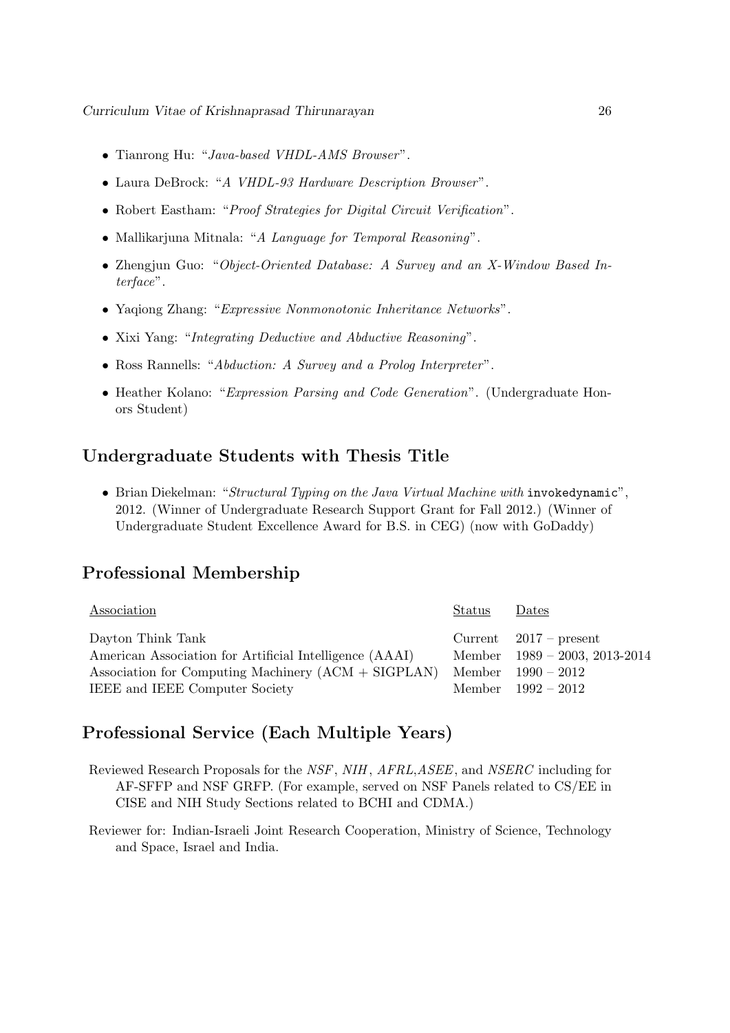- Tianrong Hu: "Java-based VHDL-AMS Browser".
- Laura DeBrock: "A VHDL-93 Hardware Description Browser".
- Robert Eastham: "Proof Strategies for Digital Circuit Verification".
- Mallikarjuna Mitnala: "A Language for Temporal Reasoning".
- Zhengjun Guo: "Object-Oriented Database: A Survey and an X-Window Based Interface".
- Yaqiong Zhang: "Expressive Nonmonotonic Inheritance Networks".
- Xixi Yang: "Integrating Deductive and Abductive Reasoning".
- Ross Rannells: "Abduction: A Survey and a Prolog Interpreter".
- Heather Kolano: "Expression Parsing and Code Generation". (Undergraduate Honors Student)

### Undergraduate Students with Thesis Title

• Brian Diekelman: "Structural Typing on the Java Virtual Machine with invokedynamic", 2012. (Winner of Undergraduate Research Support Grant for Fall 2012.) (Winner of Undergraduate Student Excellence Award for B.S. in CEG) (now with GoDaddy)

### Professional Membership

| Association                                             | Status | Dates                            |
|---------------------------------------------------------|--------|----------------------------------|
| Dayton Think Tank                                       |        | Current $2017$ – present         |
| American Association for Artificial Intelligence (AAAI) |        | Member $1989 - 2003$ , 2013-2014 |
| Association for Computing Machinery $(ACM + SIGPLAN)$   |        | Member $1990 - 2012$             |
| <b>IEEE</b> and <b>IEEE</b> Computer Society            |        | Member $1992 - 2012$             |

### Professional Service (Each Multiple Years)

- Reviewed Research Proposals for the NSF, NIH , AFRL,ASEE, and NSERC including for AF-SFFP and NSF GRFP. (For example, served on NSF Panels related to CS/EE in CISE and NIH Study Sections related to BCHI and CDMA.)
- Reviewer for: Indian-Israeli Joint Research Cooperation, Ministry of Science, Technology and Space, Israel and India.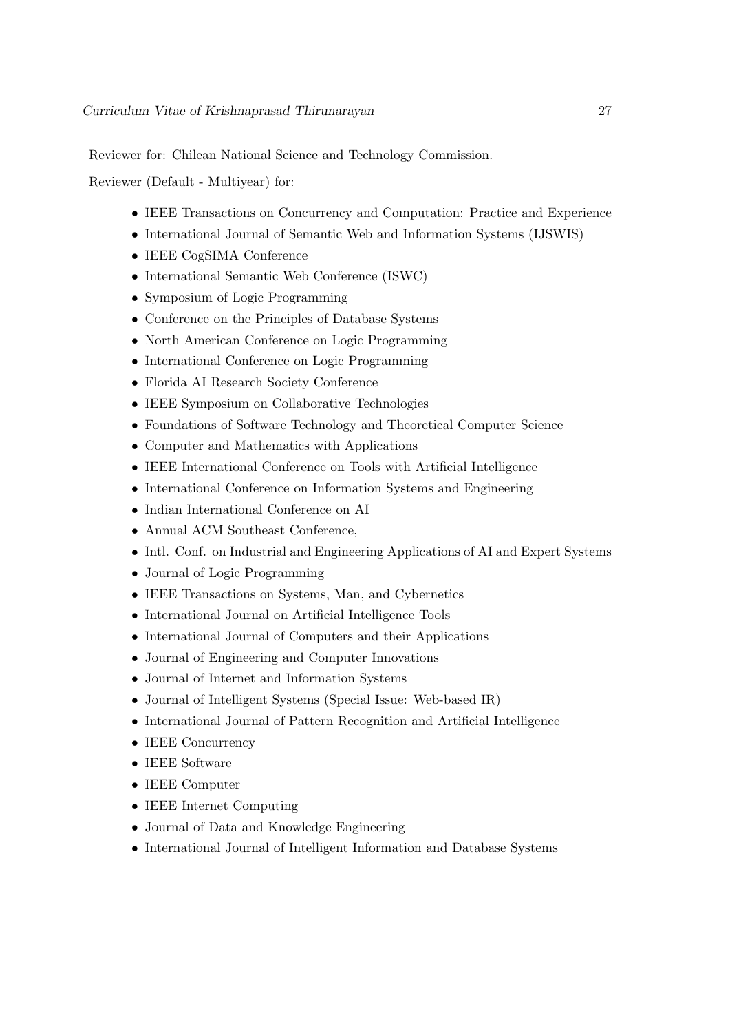Reviewer for: Chilean National Science and Technology Commission.

Reviewer (Default - Multiyear) for:

- IEEE Transactions on Concurrency and Computation: Practice and Experience
- International Journal of Semantic Web and Information Systems (IJSWIS)
- IEEE CogSIMA Conference
- International Semantic Web Conference (ISWC)
- Symposium of Logic Programming
- Conference on the Principles of Database Systems
- North American Conference on Logic Programming
- International Conference on Logic Programming
- Florida AI Research Society Conference
- IEEE Symposium on Collaborative Technologies
- Foundations of Software Technology and Theoretical Computer Science
- Computer and Mathematics with Applications
- IEEE International Conference on Tools with Artificial Intelligence
- International Conference on Information Systems and Engineering
- Indian International Conference on AI
- Annual ACM Southeast Conference,
- Intl. Conf. on Industrial and Engineering Applications of AI and Expert Systems
- Journal of Logic Programming
- IEEE Transactions on Systems, Man, and Cybernetics
- International Journal on Artificial Intelligence Tools
- International Journal of Computers and their Applications
- Journal of Engineering and Computer Innovations
- Journal of Internet and Information Systems
- Journal of Intelligent Systems (Special Issue: Web-based IR)
- International Journal of Pattern Recognition and Artificial Intelligence
- IEEE Concurrency
- IEEE Software
- IEEE Computer
- IEEE Internet Computing
- Journal of Data and Knowledge Engineering
- International Journal of Intelligent Information and Database Systems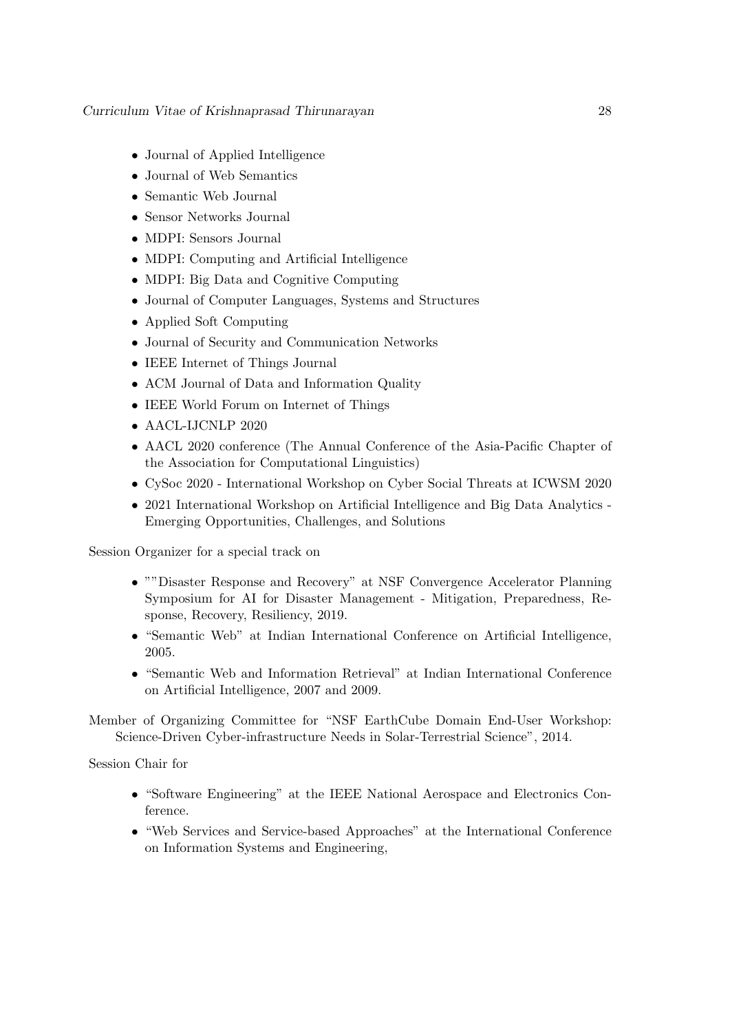- Journal of Applied Intelligence
- Journal of Web Semantics
- Semantic Web Journal
- Sensor Networks Journal
- MDPI: Sensors Journal
- MDPI: Computing and Artificial Intelligence
- MDPI: Big Data and Cognitive Computing
- Journal of Computer Languages, Systems and Structures
- Applied Soft Computing
- Journal of Security and Communication Networks
- IEEE Internet of Things Journal
- ACM Journal of Data and Information Quality
- IEEE World Forum on Internet of Things
- AACL-IJCNLP 2020
- AACL 2020 conference (The Annual Conference of the Asia-Pacific Chapter of the Association for Computational Linguistics)
- CySoc 2020 International Workshop on Cyber Social Threats at ICWSM 2020
- 2021 International Workshop on Artificial Intelligence and Big Data Analytics Emerging Opportunities, Challenges, and Solutions

Session Organizer for a special track on

- ""Disaster Response and Recovery" at NSF Convergence Accelerator Planning Symposium for AI for Disaster Management - Mitigation, Preparedness, Response, Recovery, Resiliency, 2019.
- "Semantic Web" at Indian International Conference on Artificial Intelligence, 2005.
- "Semantic Web and Information Retrieval" at Indian International Conference on Artificial Intelligence, 2007 and 2009.

Member of Organizing Committee for "NSF EarthCube Domain End-User Workshop: Science-Driven Cyber-infrastructure Needs in Solar-Terrestrial Science", 2014.

Session Chair for

- "Software Engineering" at the IEEE National Aerospace and Electronics Conference.
- "Web Services and Service-based Approaches" at the International Conference on Information Systems and Engineering,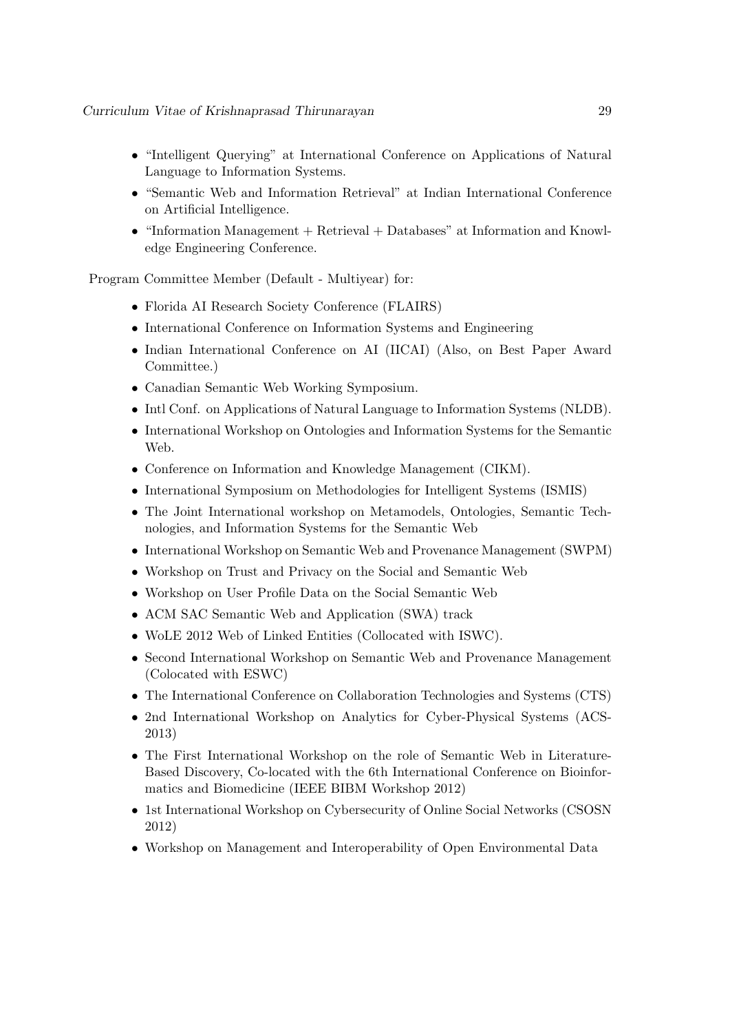- "Intelligent Querying" at International Conference on Applications of Natural Language to Information Systems.
- "Semantic Web and Information Retrieval" at Indian International Conference on Artificial Intelligence.
- "Information Management + Retrieval + Databases" at Information and Knowledge Engineering Conference.

Program Committee Member (Default - Multiyear) for:

- Florida AI Research Society Conference (FLAIRS)
- International Conference on Information Systems and Engineering
- Indian International Conference on AI (IICAI) (Also, on Best Paper Award Committee.)
- Canadian Semantic Web Working Symposium.
- Intl Conf. on Applications of Natural Language to Information Systems (NLDB).
- International Workshop on Ontologies and Information Systems for the Semantic Web.
- Conference on Information and Knowledge Management (CIKM).
- International Symposium on Methodologies for Intelligent Systems (ISMIS)
- The Joint International workshop on Metamodels, Ontologies, Semantic Technologies, and Information Systems for the Semantic Web
- International Workshop on Semantic Web and Provenance Management (SWPM)
- Workshop on Trust and Privacy on the Social and Semantic Web
- Workshop on User Profile Data on the Social Semantic Web
- ACM SAC Semantic Web and Application (SWA) track
- WoLE 2012 Web of Linked Entities (Collocated with ISWC).
- Second International Workshop on Semantic Web and Provenance Management (Colocated with ESWC)
- The International Conference on Collaboration Technologies and Systems (CTS)
- 2nd International Workshop on Analytics for Cyber-Physical Systems (ACS-2013)
- The First International Workshop on the role of Semantic Web in Literature-Based Discovery, Co-located with the 6th International Conference on Bioinformatics and Biomedicine (IEEE BIBM Workshop 2012)
- 1st International Workshop on Cybersecurity of Online Social Networks (CSOSN 2012)
- Workshop on Management and Interoperability of Open Environmental Data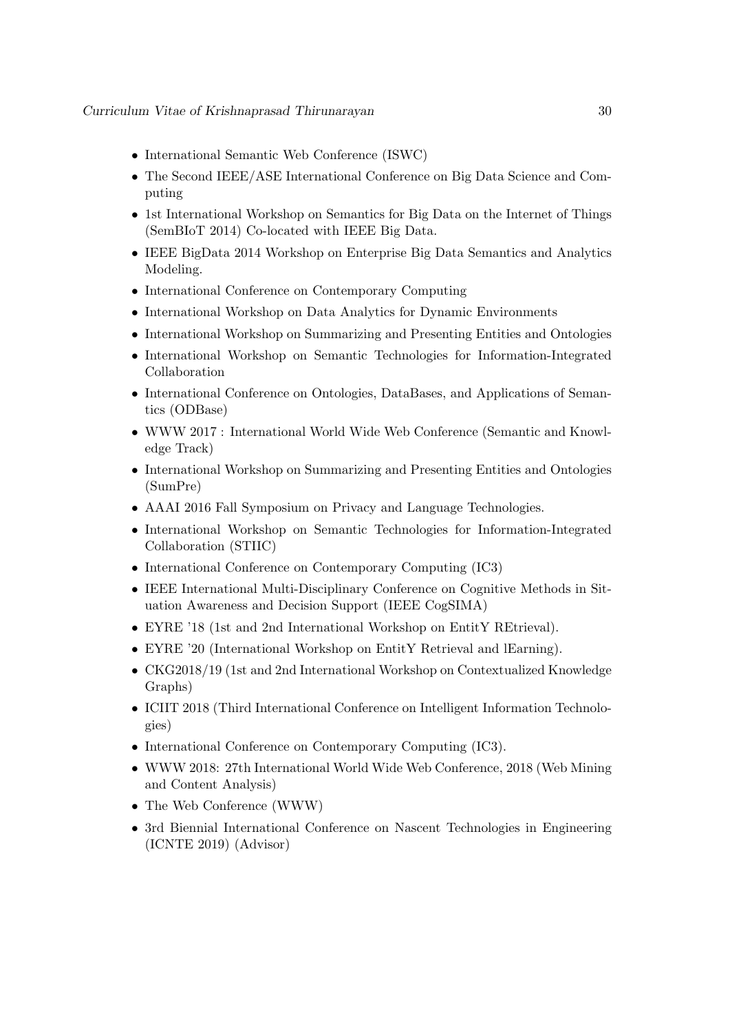- International Semantic Web Conference (ISWC)
- The Second IEEE/ASE International Conference on Big Data Science and Computing
- 1st International Workshop on Semantics for Big Data on the Internet of Things (SemBIoT 2014) Co-located with IEEE Big Data.
- IEEE BigData 2014 Workshop on Enterprise Big Data Semantics and Analytics Modeling.
- International Conference on Contemporary Computing
- International Workshop on Data Analytics for Dynamic Environments
- International Workshop on Summarizing and Presenting Entities and Ontologies
- International Workshop on Semantic Technologies for Information-Integrated Collaboration
- International Conference on Ontologies, DataBases, and Applications of Semantics (ODBase)
- WWW 2017 : International World Wide Web Conference (Semantic and Knowledge Track)
- International Workshop on Summarizing and Presenting Entities and Ontologies (SumPre)
- AAAI 2016 Fall Symposium on Privacy and Language Technologies.
- International Workshop on Semantic Technologies for Information-Integrated Collaboration (STIIC)
- International Conference on Contemporary Computing (IC3)
- IEEE International Multi-Disciplinary Conference on Cognitive Methods in Situation Awareness and Decision Support (IEEE CogSIMA)
- EYRE '18 (1st and 2nd International Workshop on EntitY REtrieval).
- EYRE '20 (International Workshop on EntitY Retrieval and lEarning).
- CKG2018/19 (1st and 2nd International Workshop on Contextualized Knowledge Graphs)
- ICIIT 2018 (Third International Conference on Intelligent Information Technologies)
- International Conference on Contemporary Computing (IC3).
- WWW 2018: 27th International World Wide Web Conference, 2018 (Web Mining and Content Analysis)
- The Web Conference (WWW)
- 3rd Biennial International Conference on Nascent Technologies in Engineering (ICNTE 2019) (Advisor)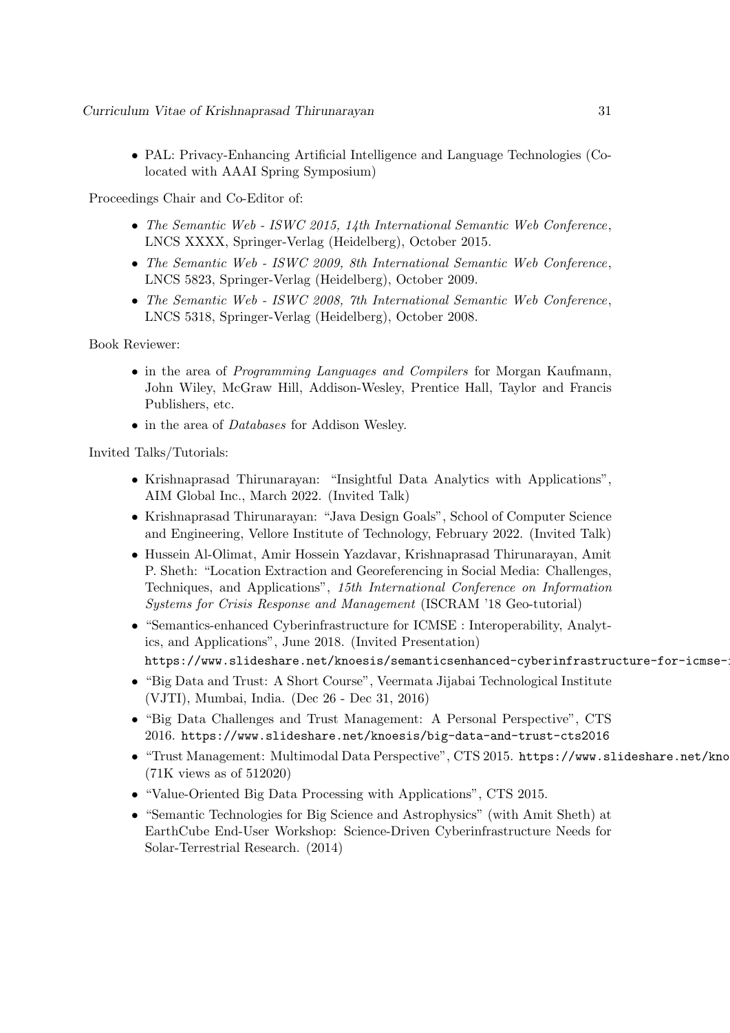• PAL: Privacy-Enhancing Artificial Intelligence and Language Technologies (Colocated with AAAI Spring Symposium)

Proceedings Chair and Co-Editor of:

- The Semantic Web ISWC 2015, 14th International Semantic Web Conference, LNCS XXXX, Springer-Verlag (Heidelberg), October 2015.
- The Semantic Web ISWC 2009, 8th International Semantic Web Conference, LNCS 5823, Springer-Verlag (Heidelberg), October 2009.
- The Semantic Web ISWC 2008, 7th International Semantic Web Conference, LNCS 5318, Springer-Verlag (Heidelberg), October 2008.

Book Reviewer:

- in the area of *Programming Languages and Compilers* for Morgan Kaufmann, John Wiley, McGraw Hill, Addison-Wesley, Prentice Hall, Taylor and Francis Publishers, etc.
- in the area of *Databases* for Addison Wesley.

Invited Talks/Tutorials:

- Krishnaprasad Thirunarayan: "Insightful Data Analytics with Applications", AIM Global Inc., March 2022. (Invited Talk)
- Krishnaprasad Thirunarayan: "Java Design Goals", School of Computer Science and Engineering, Vellore Institute of Technology, February 2022. (Invited Talk)
- Hussein Al-Olimat, Amir Hossein Yazdavar, Krishnaprasad Thirunarayan, Amit P. Sheth: "Location Extraction and Georeferencing in Social Media: Challenges, Techniques, and Applications", 15th International Conference on Information Systems for Crisis Response and Management (ISCRAM '18 Geo-tutorial)
- "Semantics-enhanced Cyberinfrastructure for ICMSE : Interoperability, Analytics, and Applications", June 2018. (Invited Presentation) https://www.slideshare.net/knoesis/semanticsenhanced-cyberinfrastructure-for-icmse-
- "Big Data and Trust: A Short Course", Veermata Jijabai Technological Institute (VJTI), Mumbai, India. (Dec 26 - Dec 31, 2016)
- "Big Data Challenges and Trust Management: A Personal Perspective", CTS 2016. https://www.slideshare.net/knoesis/big-data-and-trust-cts2016
- "Trust Management: Multimodal Data Perspective", CTS 2015. https://www.slideshare.net/kno (71K views as of 512020)
- "Value-Oriented Big Data Processing with Applications", CTS 2015.
- "Semantic Technologies for Big Science and Astrophysics" (with Amit Sheth) at EarthCube End-User Workshop: Science-Driven Cyberinfrastructure Needs for Solar-Terrestrial Research. (2014)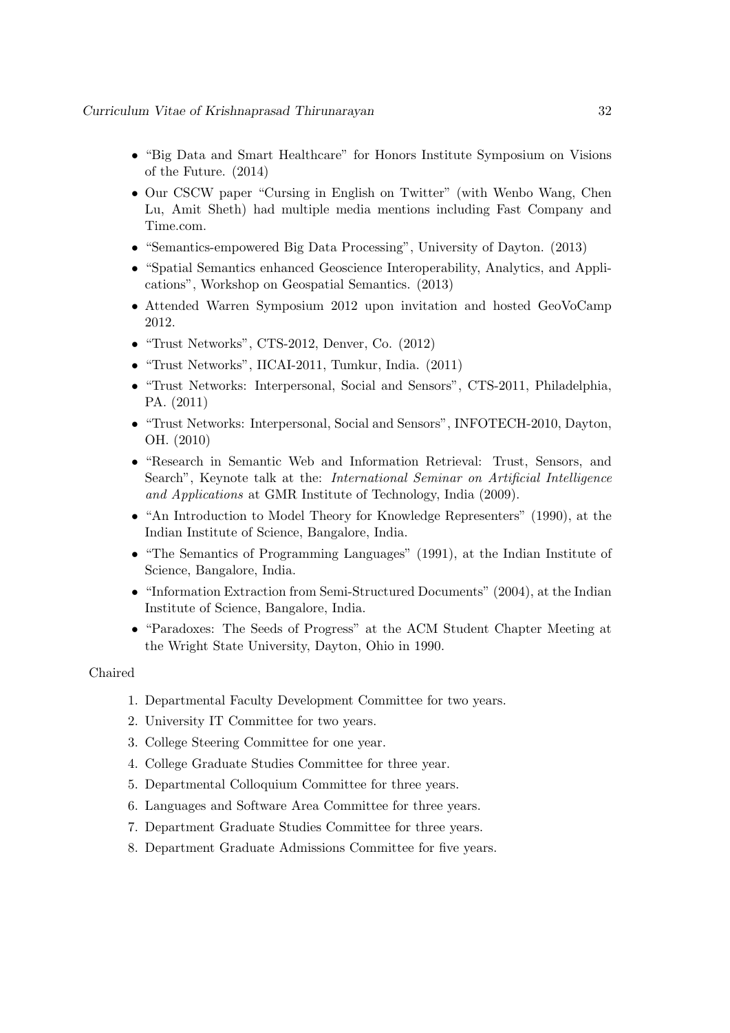- "Big Data and Smart Healthcare" for Honors Institute Symposium on Visions of the Future. (2014)
- Our CSCW paper "Cursing in English on Twitter" (with Wenbo Wang, Chen Lu, Amit Sheth) had multiple media mentions including Fast Company and Time.com.
- "Semantics-empowered Big Data Processing", University of Dayton. (2013)
- "Spatial Semantics enhanced Geoscience Interoperability, Analytics, and Applications", Workshop on Geospatial Semantics. (2013)
- Attended Warren Symposium 2012 upon invitation and hosted GeoVoCamp 2012.
- "Trust Networks", CTS-2012, Denver, Co. (2012)
- "Trust Networks", IICAI-2011, Tumkur, India. (2011)
- "Trust Networks: Interpersonal, Social and Sensors", CTS-2011, Philadelphia, PA. (2011)
- "Trust Networks: Interpersonal, Social and Sensors", INFOTECH-2010, Dayton, OH. (2010)
- "Research in Semantic Web and Information Retrieval: Trust, Sensors, and Search", Keynote talk at the: *International Seminar on Artificial Intelligence* and Applications at GMR Institute of Technology, India (2009).
- "An Introduction to Model Theory for Knowledge Representers" (1990), at the Indian Institute of Science, Bangalore, India.
- "The Semantics of Programming Languages" (1991), at the Indian Institute of Science, Bangalore, India.
- "Information Extraction from Semi-Structured Documents" (2004), at the Indian Institute of Science, Bangalore, India.
- "Paradoxes: The Seeds of Progress" at the ACM Student Chapter Meeting at the Wright State University, Dayton, Ohio in 1990.

### Chaired

- 1. Departmental Faculty Development Committee for two years.
- 2. University IT Committee for two years.
- 3. College Steering Committee for one year.
- 4. College Graduate Studies Committee for three year.
- 5. Departmental Colloquium Committee for three years.
- 6. Languages and Software Area Committee for three years.
- 7. Department Graduate Studies Committee for three years.
- 8. Department Graduate Admissions Committee for five years.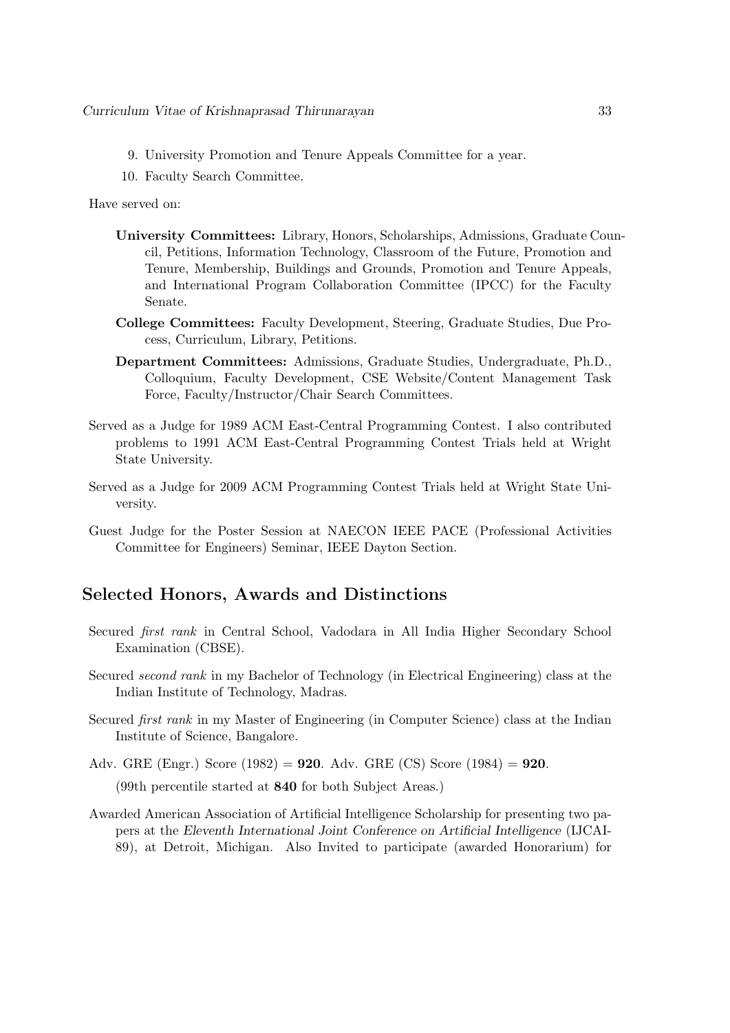- 9. University Promotion and Tenure Appeals Committee for a year.
- 10. Faculty Search Committee.

Have served on:

- University Committees: Library, Honors, Scholarships, Admissions, Graduate Council, Petitions, Information Technology, Classroom of the Future, Promotion and Tenure, Membership, Buildings and Grounds, Promotion and Tenure Appeals, and International Program Collaboration Committee (IPCC) for the Faculty Senate.
- College Committees: Faculty Development, Steering, Graduate Studies, Due Process, Curriculum, Library, Petitions.
- Department Committees: Admissions, Graduate Studies, Undergraduate, Ph.D., Colloquium, Faculty Development, CSE Website/Content Management Task Force, Faculty/Instructor/Chair Search Committees.
- Served as a Judge for 1989 ACM East-Central Programming Contest. I also contributed problems to 1991 ACM East-Central Programming Contest Trials held at Wright State University.
- Served as a Judge for 2009 ACM Programming Contest Trials held at Wright State University.
- Guest Judge for the Poster Session at NAECON IEEE PACE (Professional Activities Committee for Engineers) Seminar, IEEE Dayton Section.

### Selected Honors, Awards and Distinctions

- Secured first rank in Central School, Vadodara in All India Higher Secondary School Examination (CBSE).
- Secured second rank in my Bachelor of Technology (in Electrical Engineering) class at the Indian Institute of Technology, Madras.
- Secured first rank in my Master of Engineering (in Computer Science) class at the Indian Institute of Science, Bangalore.
- Adv. GRE (Engr.) Score (1982) = 920. Adv. GRE (CS) Score (1984) = 920. (99th percentile started at 840 for both Subject Areas.)
- Awarded American Association of Artificial Intelligence Scholarship for presenting two papers at the Eleventh International Joint Conference on Artificial Intelligence (IJCAI-89), at Detroit, Michigan. Also Invited to participate (awarded Honorarium) for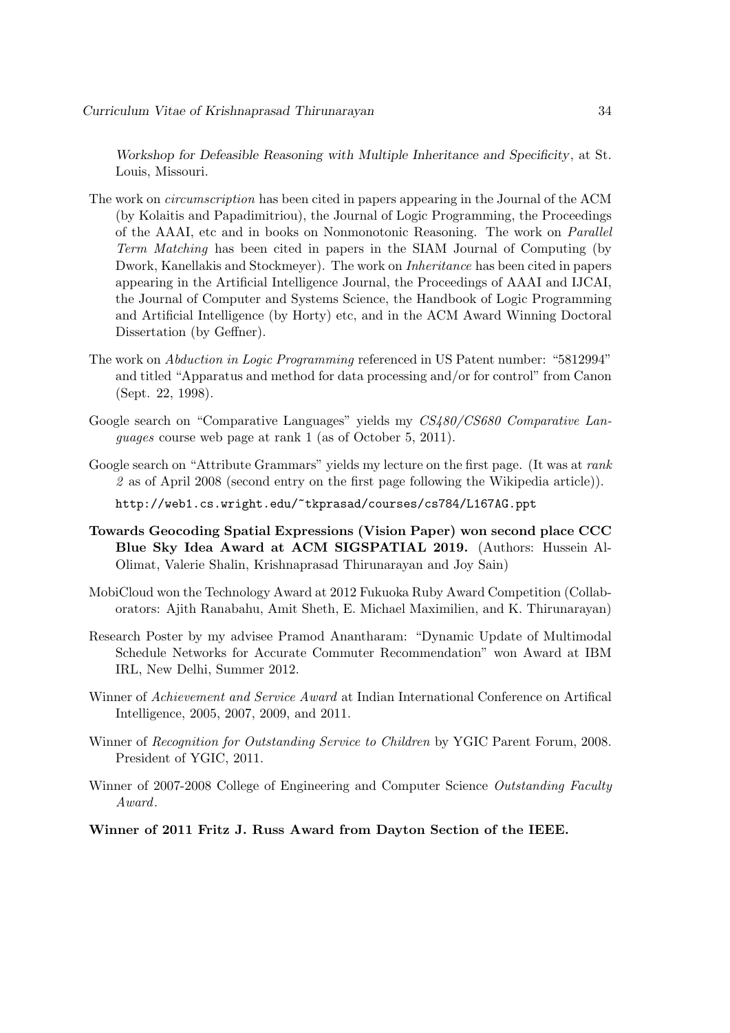Workshop for Defeasible Reasoning with Multiple Inheritance and Specificity, at St. Louis, Missouri.

- The work on circumscription has been cited in papers appearing in the Journal of the ACM (by Kolaitis and Papadimitriou), the Journal of Logic Programming, the Proceedings of the AAAI, etc and in books on Nonmonotonic Reasoning. The work on Parallel Term Matching has been cited in papers in the SIAM Journal of Computing (by Dwork, Kanellakis and Stockmeyer). The work on Inheritance has been cited in papers appearing in the Artificial Intelligence Journal, the Proceedings of AAAI and IJCAI, the Journal of Computer and Systems Science, the Handbook of Logic Programming and Artificial Intelligence (by Horty) etc, and in the ACM Award Winning Doctoral Dissertation (by Geffner).
- The work on Abduction in Logic Programming referenced in US Patent number: "5812994" and titled "Apparatus and method for data processing and/or for control" from Canon (Sept. 22, 1998).
- Google search on "Comparative Languages" yields my CS480/CS680 Comparative Languages course web page at rank 1 (as of October 5, 2011).
- Google search on "Attribute Grammars" yields my lecture on the first page. (It was at rank 2 as of April 2008 (second entry on the first page following the Wikipedia article)).

http://web1.cs.wright.edu/~tkprasad/courses/cs784/L167AG.ppt

- Towards Geocoding Spatial Expressions (Vision Paper) won second place CCC Blue Sky Idea Award at ACM SIGSPATIAL 2019. (Authors: Hussein Al-Olimat, Valerie Shalin, Krishnaprasad Thirunarayan and Joy Sain)
- MobiCloud won the Technology Award at 2012 Fukuoka Ruby Award Competition (Collaborators: Ajith Ranabahu, Amit Sheth, E. Michael Maximilien, and K. Thirunarayan)
- Research Poster by my advisee Pramod Anantharam: "Dynamic Update of Multimodal Schedule Networks for Accurate Commuter Recommendation" won Award at IBM IRL, New Delhi, Summer 2012.
- Winner of Achievement and Service Award at Indian International Conference on Artifical Intelligence, 2005, 2007, 2009, and 2011.
- Winner of Recognition for Outstanding Service to Children by YGIC Parent Forum, 2008. President of YGIC, 2011.
- Winner of 2007-2008 College of Engineering and Computer Science Outstanding Faculty Award.
- Winner of 2011 Fritz J. Russ Award from Dayton Section of the IEEE.